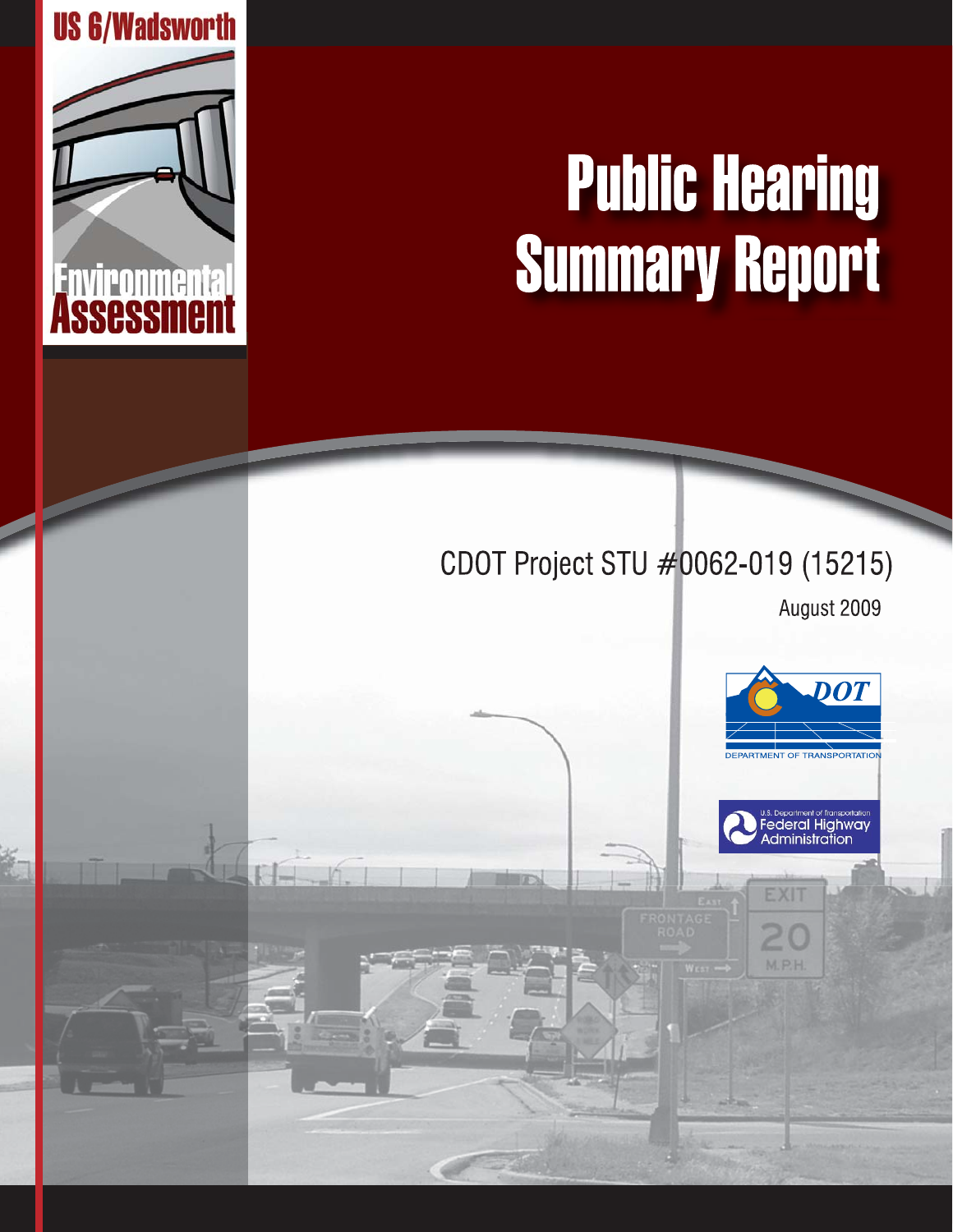# **Public Hearing Summary Report**

# <u>Environmenta</u>

**US 6/Wadsworth** 

# CDOT Project STU #0062-019 (15215)

August 2009



**M.P.F**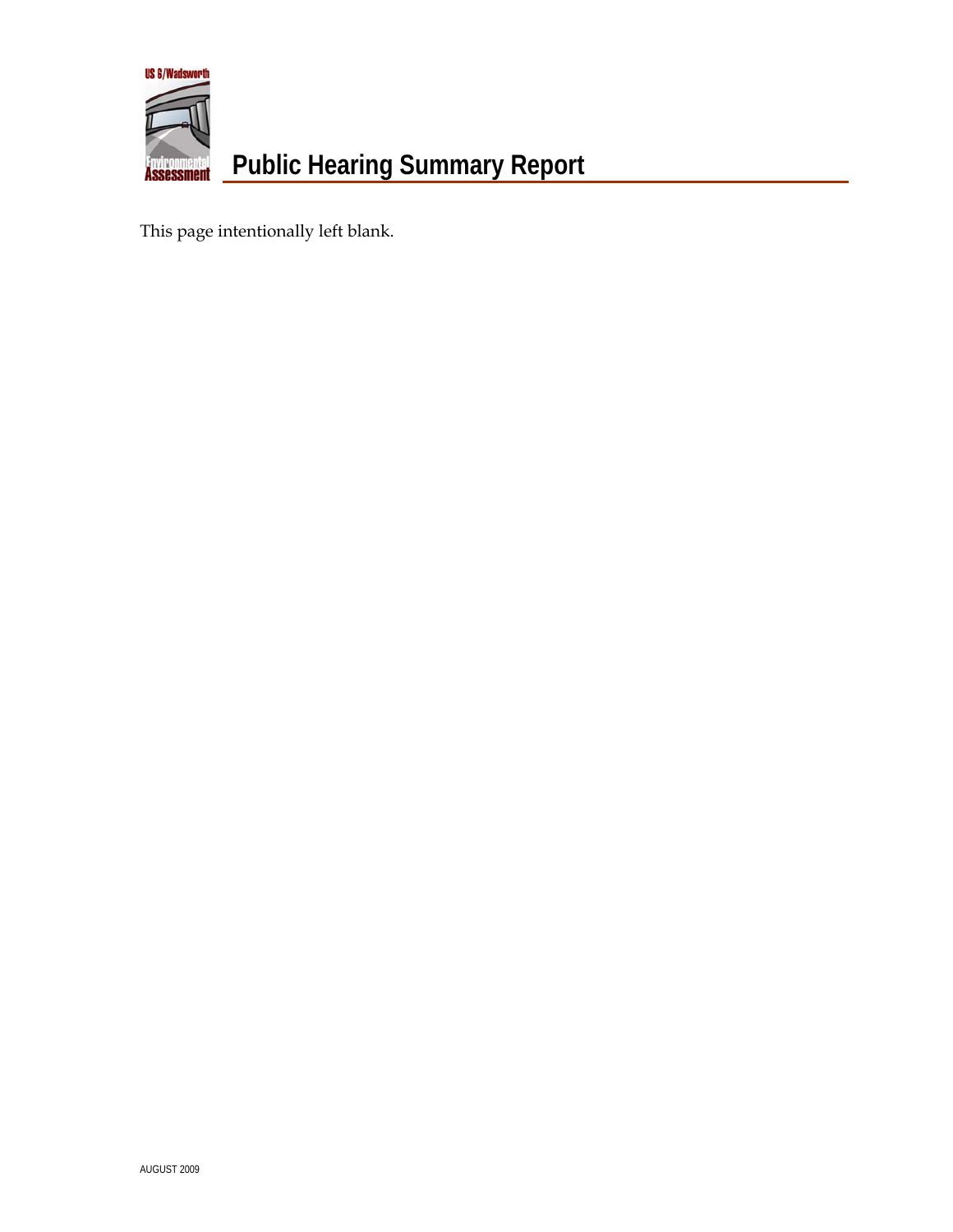

This page intentionally left blank.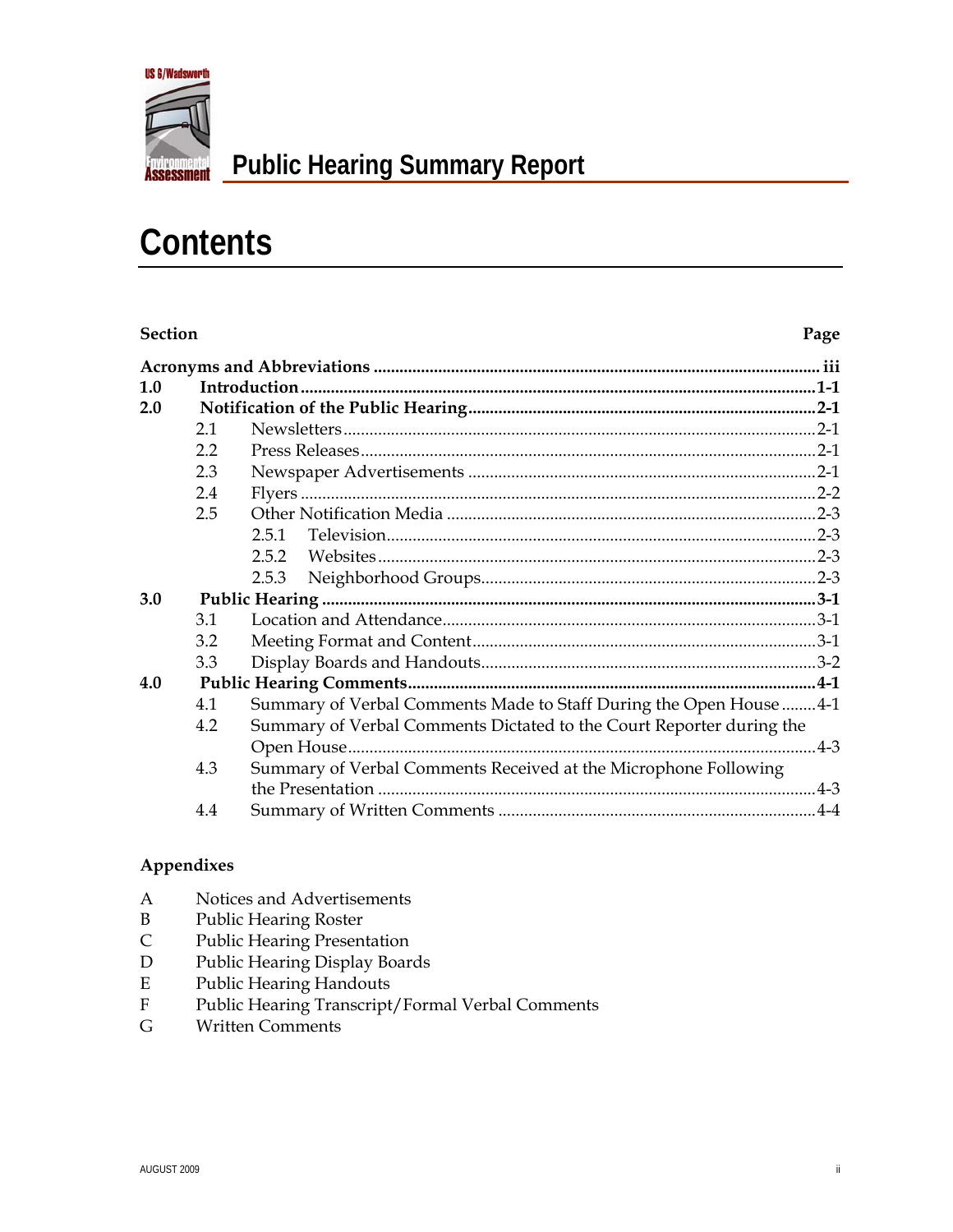

# **Contents**

### **Section Page**

| 1.0 |     |                                                                      |  |  |
|-----|-----|----------------------------------------------------------------------|--|--|
| 2.0 |     |                                                                      |  |  |
|     | 2.1 |                                                                      |  |  |
|     | 2.2 |                                                                      |  |  |
|     | 2.3 |                                                                      |  |  |
|     | 2.4 |                                                                      |  |  |
|     | 2.5 |                                                                      |  |  |
|     |     | 2.5.1                                                                |  |  |
|     |     | 2.5.2                                                                |  |  |
|     |     | 2.5.3                                                                |  |  |
| 3.0 |     |                                                                      |  |  |
|     | 3.1 |                                                                      |  |  |
|     | 3.2 |                                                                      |  |  |
|     | 3.3 |                                                                      |  |  |
| 4.0 |     |                                                                      |  |  |
|     | 4.1 | Summary of Verbal Comments Made to Staff During the Open House  4-1  |  |  |
|     | 4.2 | Summary of Verbal Comments Dictated to the Court Reporter during the |  |  |
|     |     |                                                                      |  |  |
|     | 4.3 | Summary of Verbal Comments Received at the Microphone Following      |  |  |
|     |     |                                                                      |  |  |
|     | 4.4 |                                                                      |  |  |
|     |     |                                                                      |  |  |

### **Appendixes**

- A Notices and Advertisements
- B Public Hearing Roster
- C Public Hearing Presentation
- D Public Hearing Display Boards
- E Public Hearing Handouts
- F Public Hearing Transcript/Formal Verbal Comments
- G Written Comments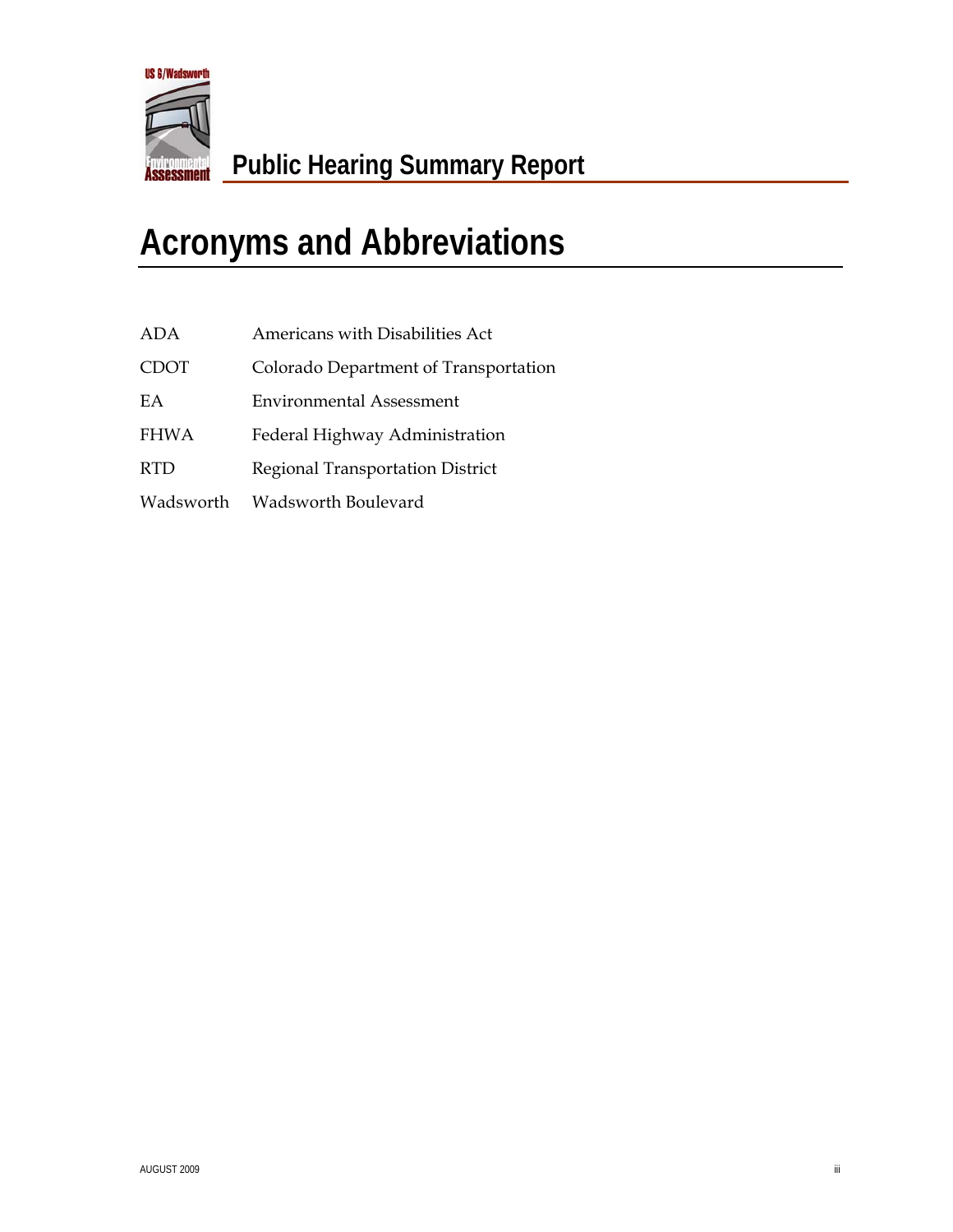

# **Acronyms and Abbreviations**

| <b>ADA</b>  | Americans with Disabilities Act       |
|-------------|---------------------------------------|
| CDOT        | Colorado Department of Transportation |
| EA.         | <b>Environmental Assessment</b>       |
| <b>FHWA</b> | Federal Highway Administration        |
| <b>RTD</b>  | Regional Transportation District      |
| Wadsworth   | Wadsworth Boulevard                   |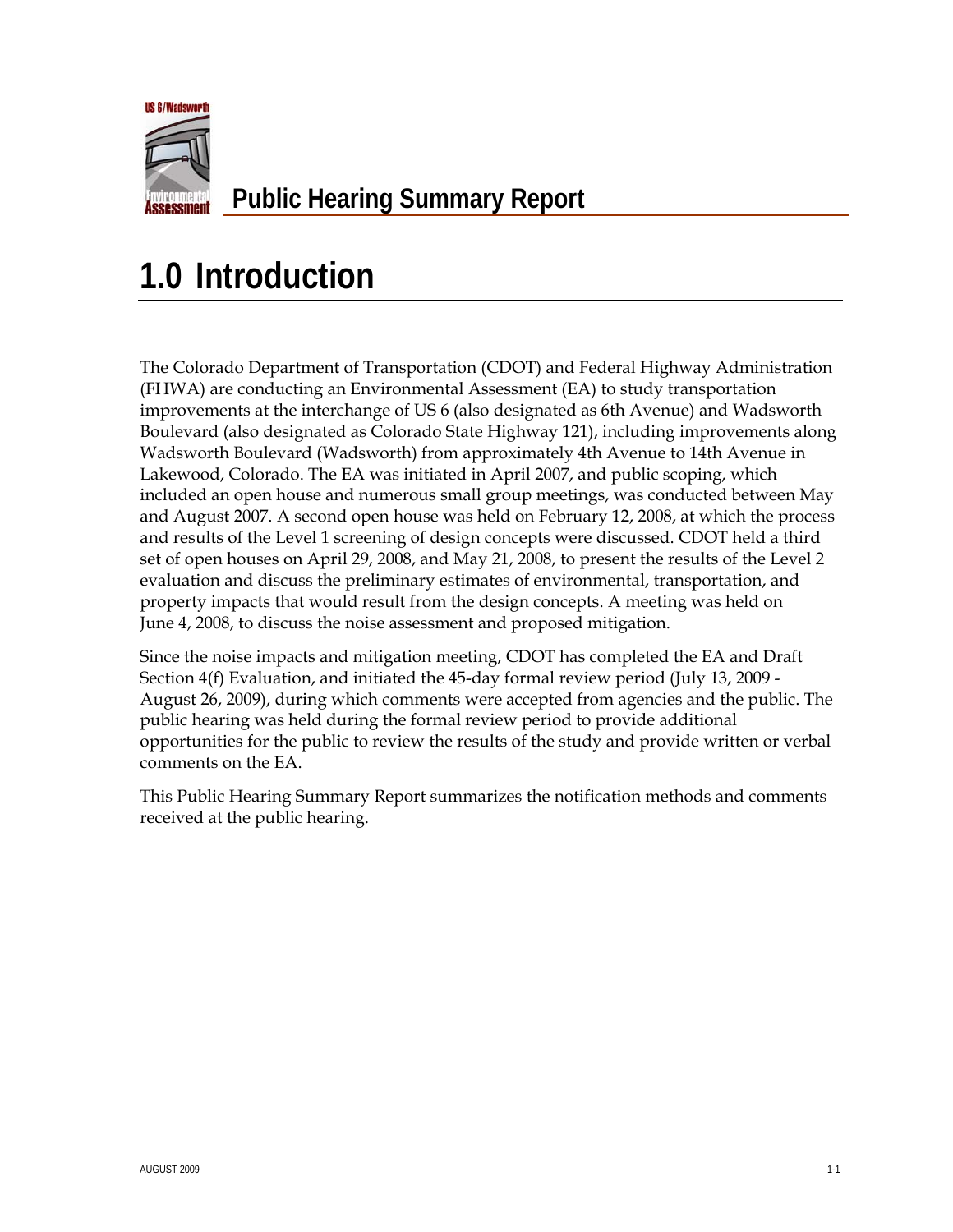

# **1.0 Introduction**

The Colorado Department of Transportation (CDOT) and Federal Highway Administration (FHWA) are conducting an Environmental Assessment (EA) to study transportation improvements at the interchange of US 6 (also designated as 6th Avenue) and Wadsworth Boulevard (also designated as Colorado State Highway 121), including improvements along Wadsworth Boulevard (Wadsworth) from approximately 4th Avenue to 14th Avenue in Lakewood, Colorado. The EA was initiated in April 2007, and public scoping, which included an open house and numerous small group meetings, was conducted between May and August 2007. A second open house was held on February 12, 2008, at which the process and results of the Level 1 screening of design concepts were discussed. CDOT held a third set of open houses on April 29, 2008, and May 21, 2008, to present the results of the Level 2 evaluation and discuss the preliminary estimates of environmental, transportation, and property impacts that would result from the design concepts. A meeting was held on June 4, 2008, to discuss the noise assessment and proposed mitigation.

Since the noise impacts and mitigation meeting, CDOT has completed the EA and Draft Section 4(f) Evaluation, and initiated the 45-day formal review period (July 13, 2009 - August 26, 2009), during which comments were accepted from agencies and the public. The public hearing was held during the formal review period to provide additional opportunities for the public to review the results of the study and provide written or verbal comments on the EA.

This Public Hearing Summary Report summarizes the notification methods and comments received at the public hearing.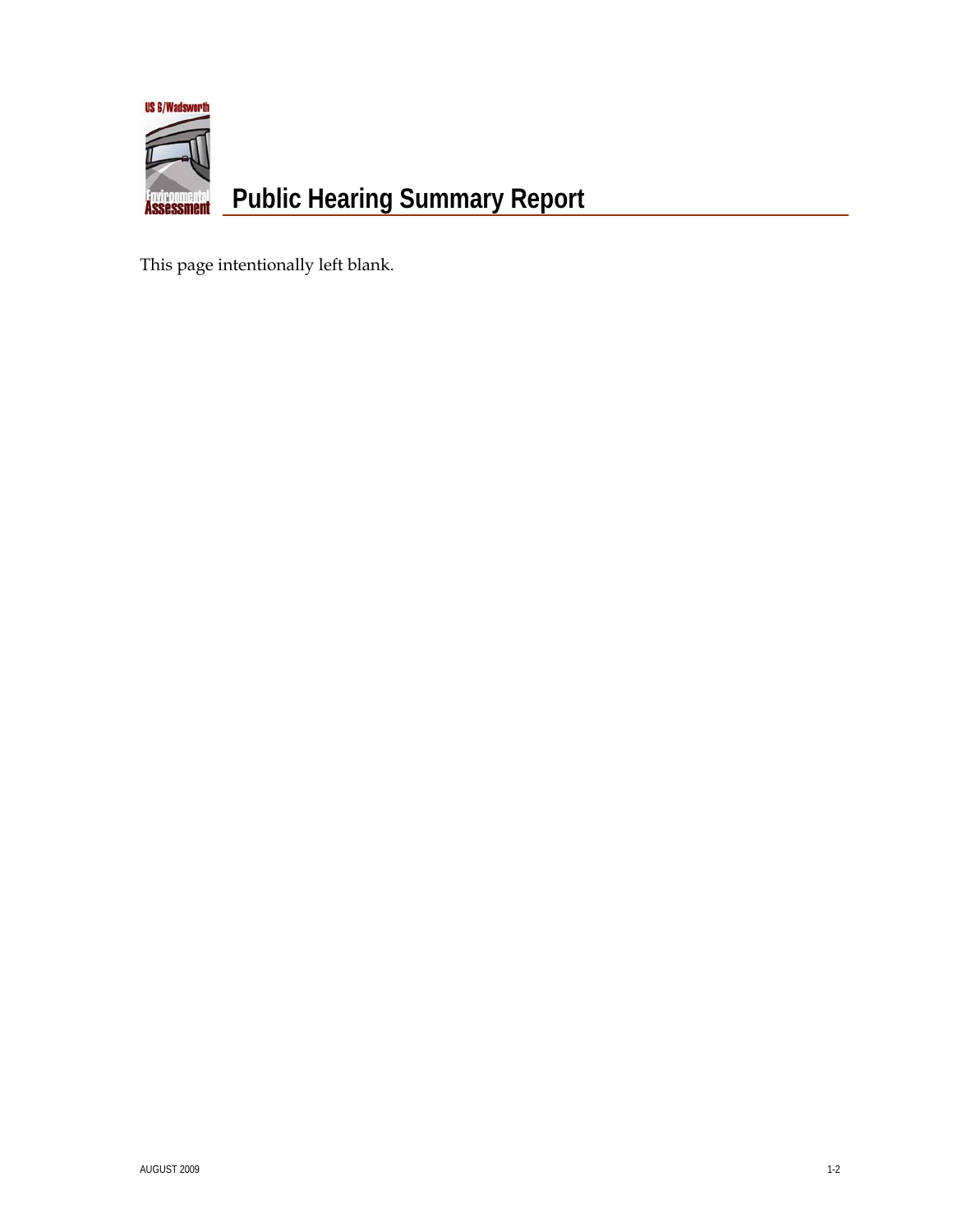

This page intentionally left blank.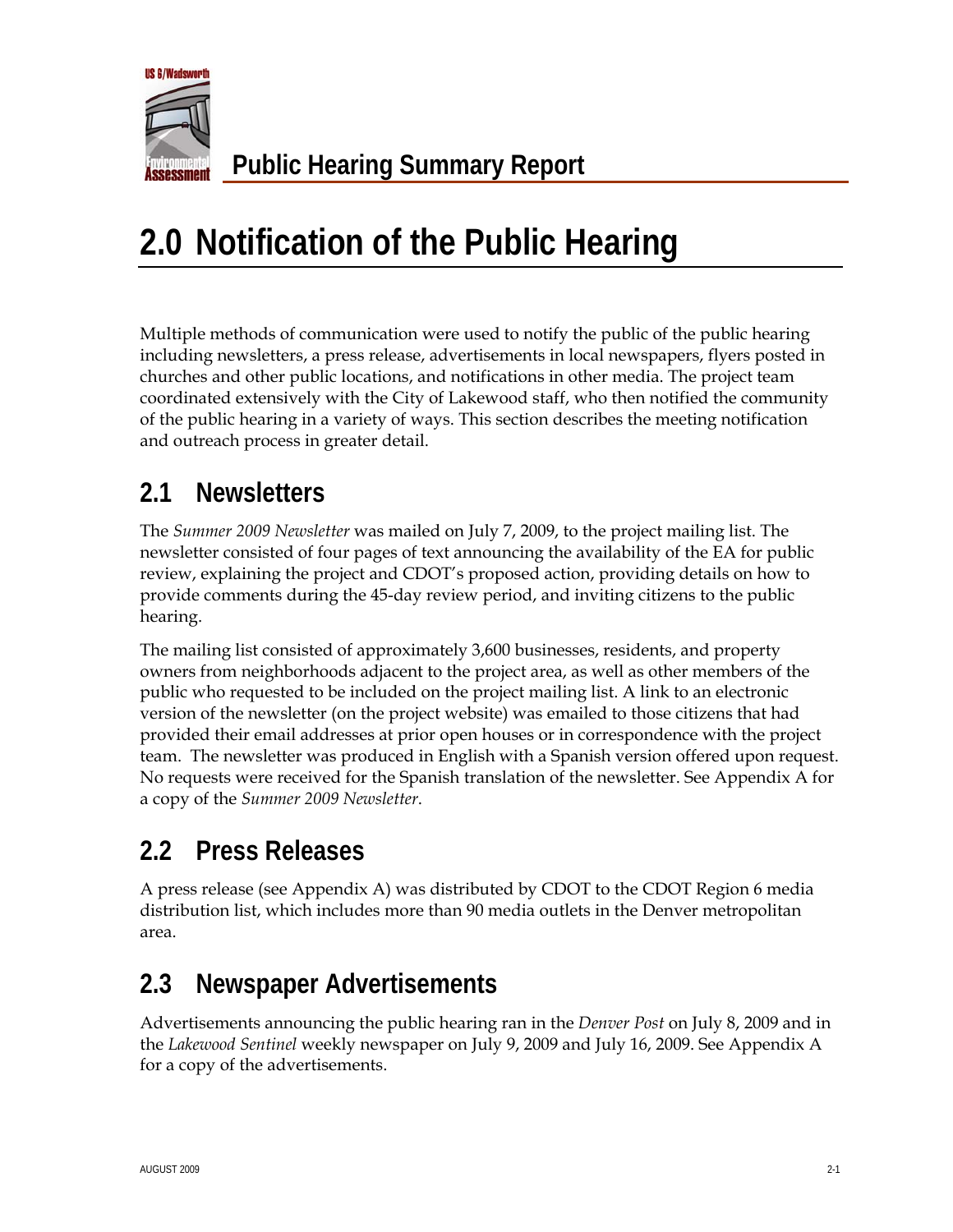

# **2.0 Notification of the Public Hearing**

Multiple methods of communication were used to notify the public of the public hearing including newsletters, a press release, advertisements in local newspapers, flyers posted in churches and other public locations, and notifications in other media. The project team coordinated extensively with the City of Lakewood staff, who then notified the community of the public hearing in a variety of ways. This section describes the meeting notification and outreach process in greater detail.

# **2.1 Newsletters**

The *Summer 2009 Newsletter* was mailed on July 7, 2009, to the project mailing list. The newsletter consisted of four pages of text announcing the availability of the EA for public review, explaining the project and CDOT's proposed action, providing details on how to provide comments during the 45-day review period, and inviting citizens to the public hearing.

The mailing list consisted of approximately 3,600 businesses, residents, and property owners from neighborhoods adjacent to the project area, as well as other members of the public who requested to be included on the project mailing list. A link to an electronic version of the newsletter (on the project website) was emailed to those citizens that had provided their email addresses at prior open houses or in correspondence with the project team. The newsletter was produced in English with a Spanish version offered upon request. No requests were received for the Spanish translation of the newsletter. See Appendix A for a copy of the *Summer 2009 Newsletter*.

# **2.2 Press Releases**

A press release (see Appendix A) was distributed by CDOT to the CDOT Region 6 media distribution list, which includes more than 90 media outlets in the Denver metropolitan area.

# **2.3 Newspaper Advertisements**

Advertisements announcing the public hearing ran in the *Denver Post* on July 8, 2009 and in the *Lakewood Sentinel* weekly newspaper on July 9, 2009 and July 16, 2009. See Appendix A for a copy of the advertisements.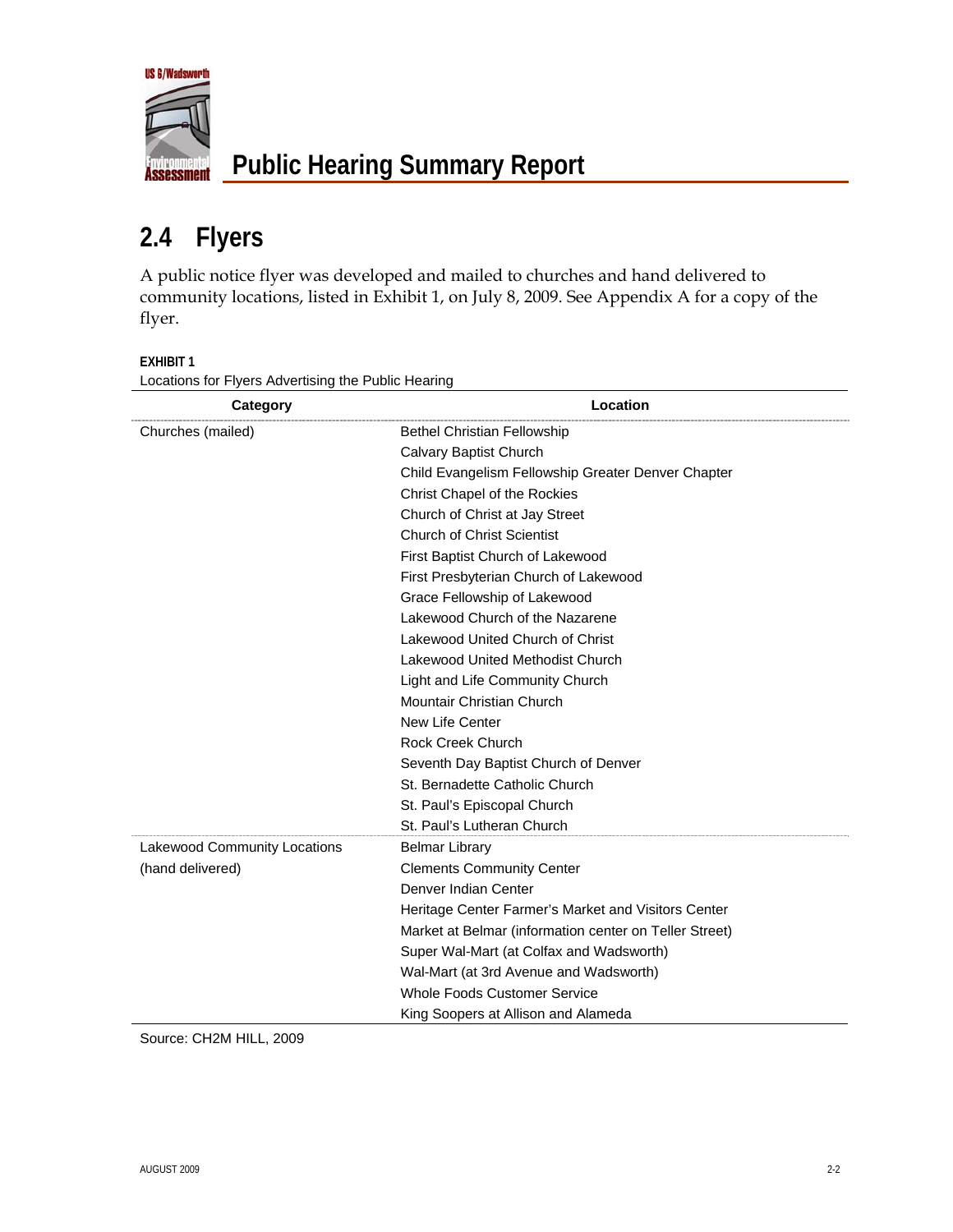

# **2.4 Flyers**

A public notice flyer was developed and mailed to churches and hand delivered to community locations, listed in Exhibit 1, on July 8, 2009. See Appendix A for a copy of the flyer.

**EXHIBIT 1** 

Locations for Flyers Advertising the Public Hearing

| Category                            | Location                                               |
|-------------------------------------|--------------------------------------------------------|
| Churches (mailed)                   | <b>Bethel Christian Fellowship</b>                     |
|                                     | Calvary Baptist Church                                 |
|                                     | Child Evangelism Fellowship Greater Denver Chapter     |
|                                     | Christ Chapel of the Rockies                           |
|                                     | Church of Christ at Jay Street                         |
|                                     | <b>Church of Christ Scientist</b>                      |
|                                     | First Baptist Church of Lakewood                       |
|                                     | First Presbyterian Church of Lakewood                  |
|                                     | Grace Fellowship of Lakewood                           |
|                                     | Lakewood Church of the Nazarene                        |
|                                     | Lakewood United Church of Christ                       |
|                                     | Lakewood United Methodist Church                       |
|                                     | Light and Life Community Church                        |
|                                     | Mountair Christian Church                              |
|                                     | New Life Center                                        |
|                                     | <b>Rock Creek Church</b>                               |
|                                     | Seventh Day Baptist Church of Denver                   |
|                                     | St. Bernadette Catholic Church                         |
|                                     | St. Paul's Episcopal Church                            |
|                                     | St. Paul's Lutheran Church                             |
| <b>Lakewood Community Locations</b> | <b>Belmar Library</b>                                  |
| (hand delivered)                    | <b>Clements Community Center</b>                       |
|                                     | Denver Indian Center                                   |
|                                     | Heritage Center Farmer's Market and Visitors Center    |
|                                     | Market at Belmar (information center on Teller Street) |
|                                     | Super Wal-Mart (at Colfax and Wadsworth)               |
|                                     | Wal-Mart (at 3rd Avenue and Wadsworth)                 |
|                                     | Whole Foods Customer Service                           |
|                                     | King Soopers at Allison and Alameda                    |

Source: CH2M HILL, 2009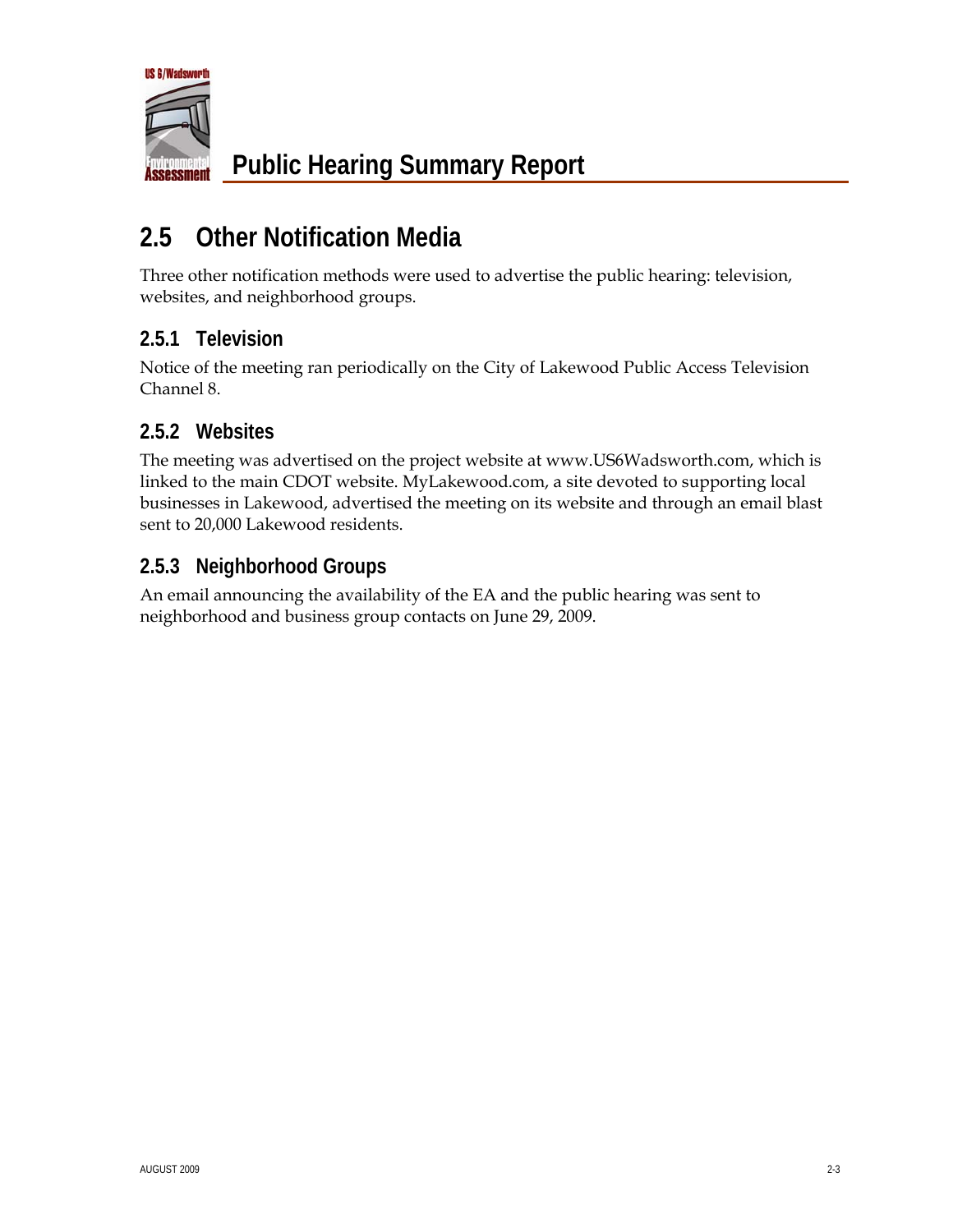

# **2.5 Other Notification Media**

Three other notification methods were used to advertise the public hearing: television, websites, and neighborhood groups.

### **2.5.1 Television**

Notice of the meeting ran periodically on the City of Lakewood Public Access Television Channel 8.

### **2.5.2 Websites**

The meeting was advertised on the project website at www.US6Wadsworth.com, which is linked to the main CDOT website. MyLakewood.com, a site devoted to supporting local businesses in Lakewood, advertised the meeting on its website and through an email blast sent to 20,000 Lakewood residents.

### **2.5.3 Neighborhood Groups**

An email announcing the availability of the EA and the public hearing was sent to neighborhood and business group contacts on June 29, 2009.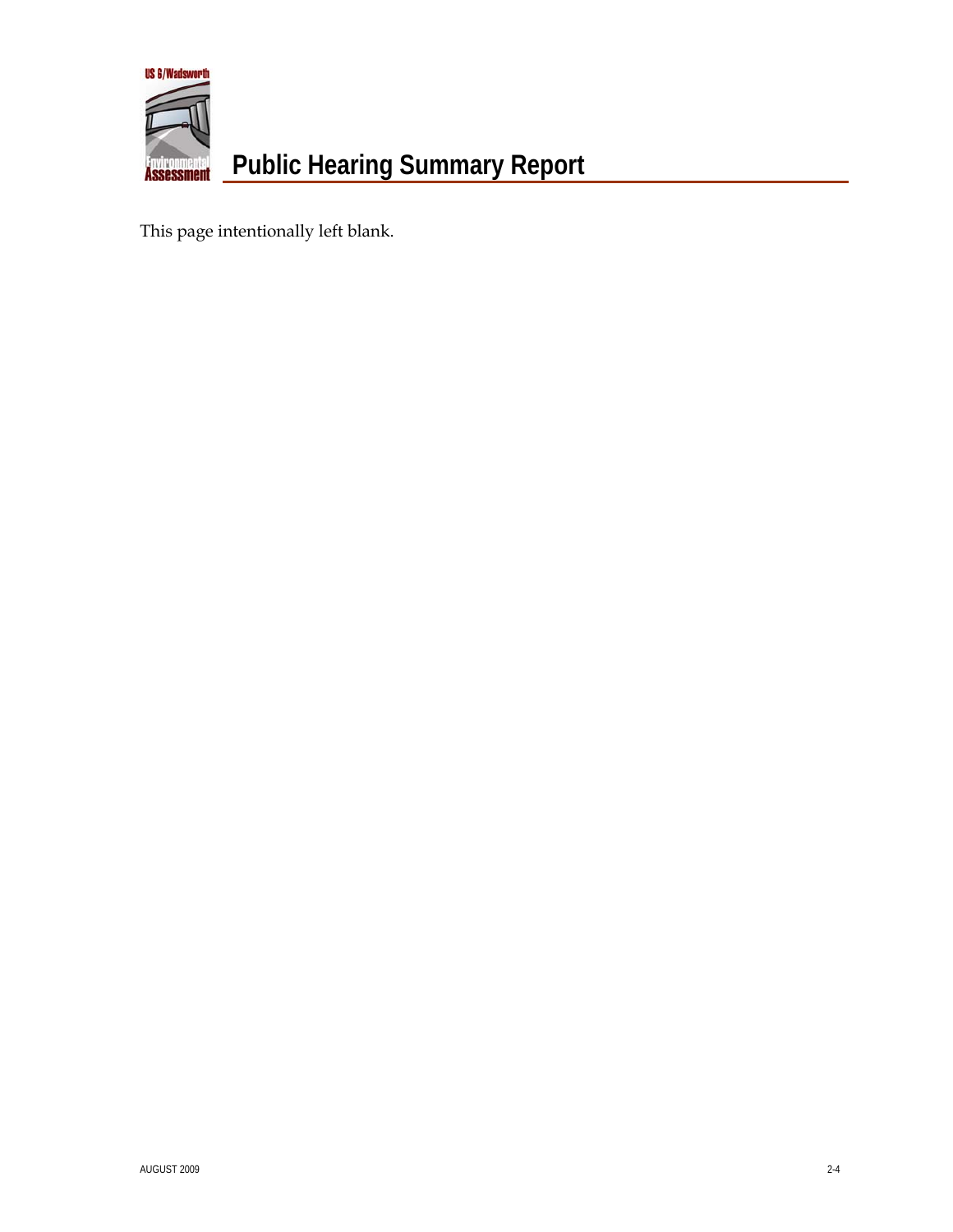

This page intentionally left blank.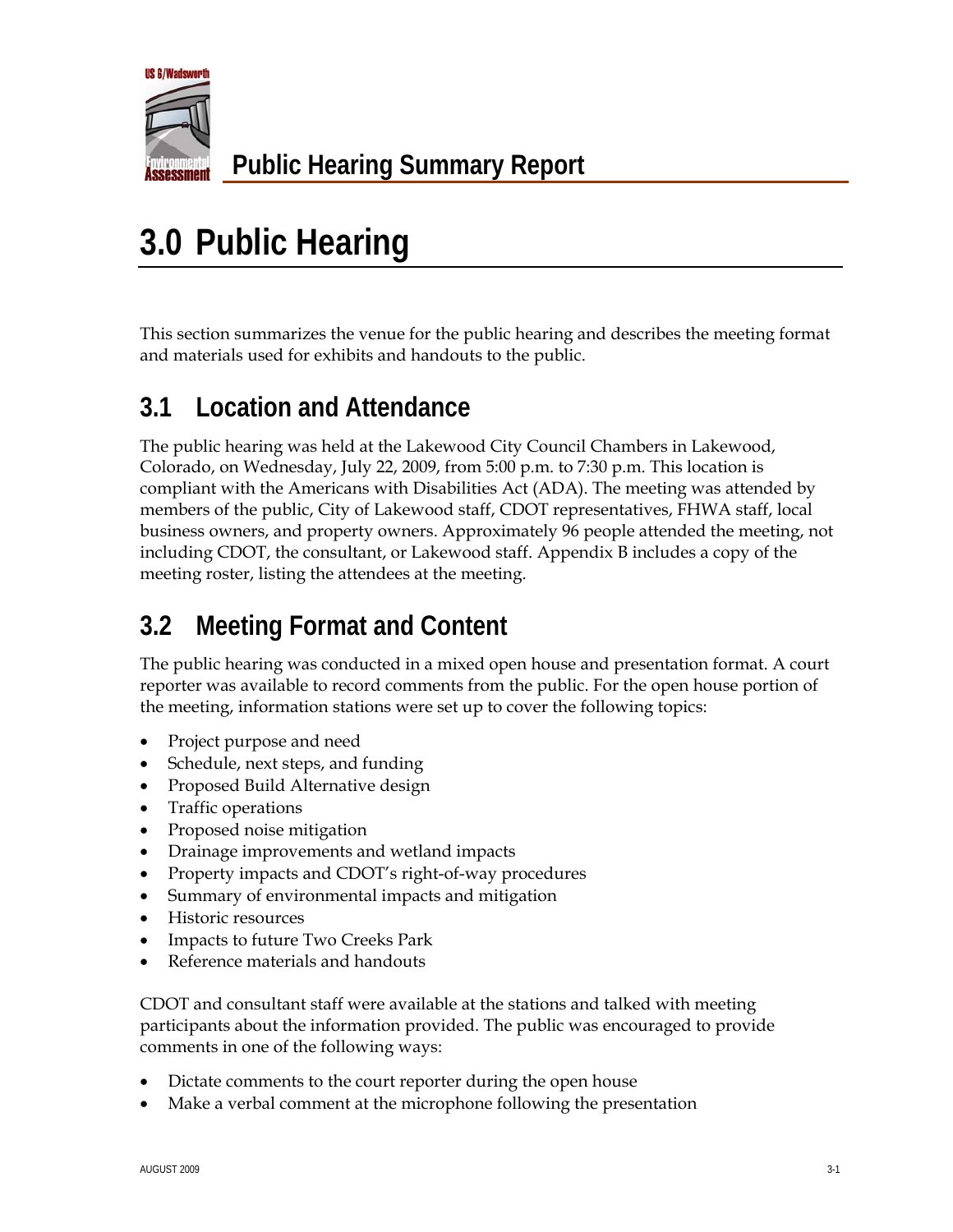

# **3.0 Public Hearing**

This section summarizes the venue for the public hearing and describes the meeting format and materials used for exhibits and handouts to the public.

### **3.1 Location and Attendance**

The public hearing was held at the Lakewood City Council Chambers in Lakewood, Colorado, on Wednesday, July 22, 2009, from 5:00 p.m. to 7:30 p.m. This location is compliant with the Americans with Disabilities Act (ADA). The meeting was attended by members of the public, City of Lakewood staff, CDOT representatives, FHWA staff, local business owners, and property owners. Approximately 96 people attended the meeting, not including CDOT, the consultant, or Lakewood staff. Appendix B includes a copy of the meeting roster, listing the attendees at the meeting.

# **3.2 Meeting Format and Content**

The public hearing was conducted in a mixed open house and presentation format. A court reporter was available to record comments from the public. For the open house portion of the meeting, information stations were set up to cover the following topics:

- Project purpose and need
- Schedule, next steps, and funding
- Proposed Build Alternative design
- Traffic operations
- Proposed noise mitigation
- Drainage improvements and wetland impacts
- Property impacts and CDOT's right-of-way procedures
- Summary of environmental impacts and mitigation
- Historic resources
- Impacts to future Two Creeks Park
- Reference materials and handouts

CDOT and consultant staff were available at the stations and talked with meeting participants about the information provided. The public was encouraged to provide comments in one of the following ways:

- Dictate comments to the court reporter during the open house
- Make a verbal comment at the microphone following the presentation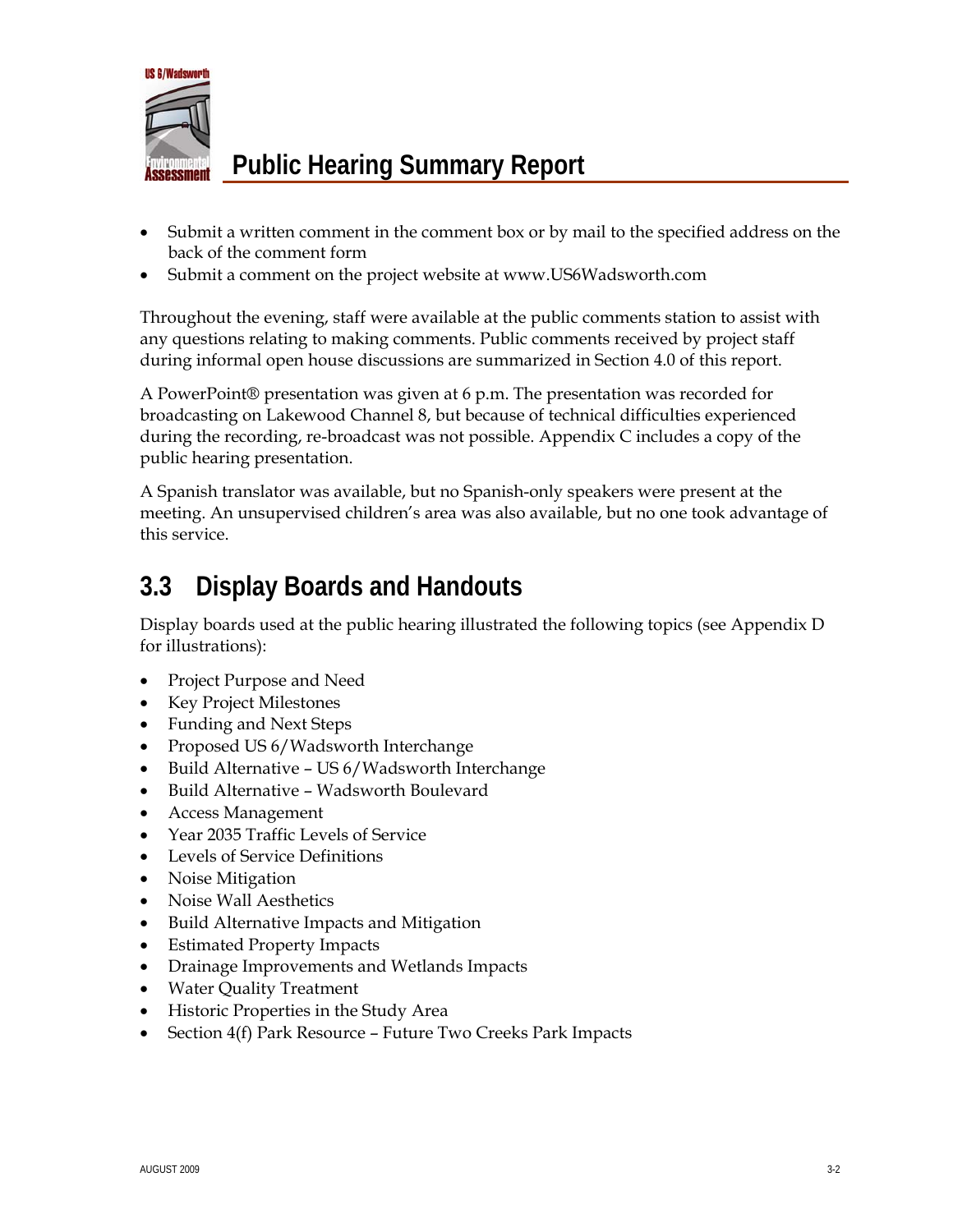

- Submit a written comment in the comment box or by mail to the specified address on the back of the comment form
- Submit a comment on the project website at www.US6Wadsworth.com

Throughout the evening, staff were available at the public comments station to assist with any questions relating to making comments. Public comments received by project staff during informal open house discussions are summarized in Section 4.0 of this report.

A PowerPoint® presentation was given at 6 p.m. The presentation was recorded for broadcasting on Lakewood Channel 8, but because of technical difficulties experienced during the recording, re-broadcast was not possible. Appendix C includes a copy of the public hearing presentation.

A Spanish translator was available, but no Spanish-only speakers were present at the meeting. An unsupervised children's area was also available, but no one took advantage of this service.

# **3.3 Display Boards and Handouts**

Display boards used at the public hearing illustrated the following topics (see Appendix D for illustrations):

- Project Purpose and Need
- Key Project Milestones
- Funding and Next Steps
- Proposed US 6/Wadsworth Interchange
- Build Alternative US 6/Wadsworth Interchange
- Build Alternative Wadsworth Boulevard
- Access Management
- Year 2035 Traffic Levels of Service
- Levels of Service Definitions
- Noise Mitigation
- Noise Wall Aesthetics
- Build Alternative Impacts and Mitigation
- Estimated Property Impacts
- Drainage Improvements and Wetlands Impacts
- Water Quality Treatment
- Historic Properties in the Study Area
- Section 4(f) Park Resource Future Two Creeks Park Impacts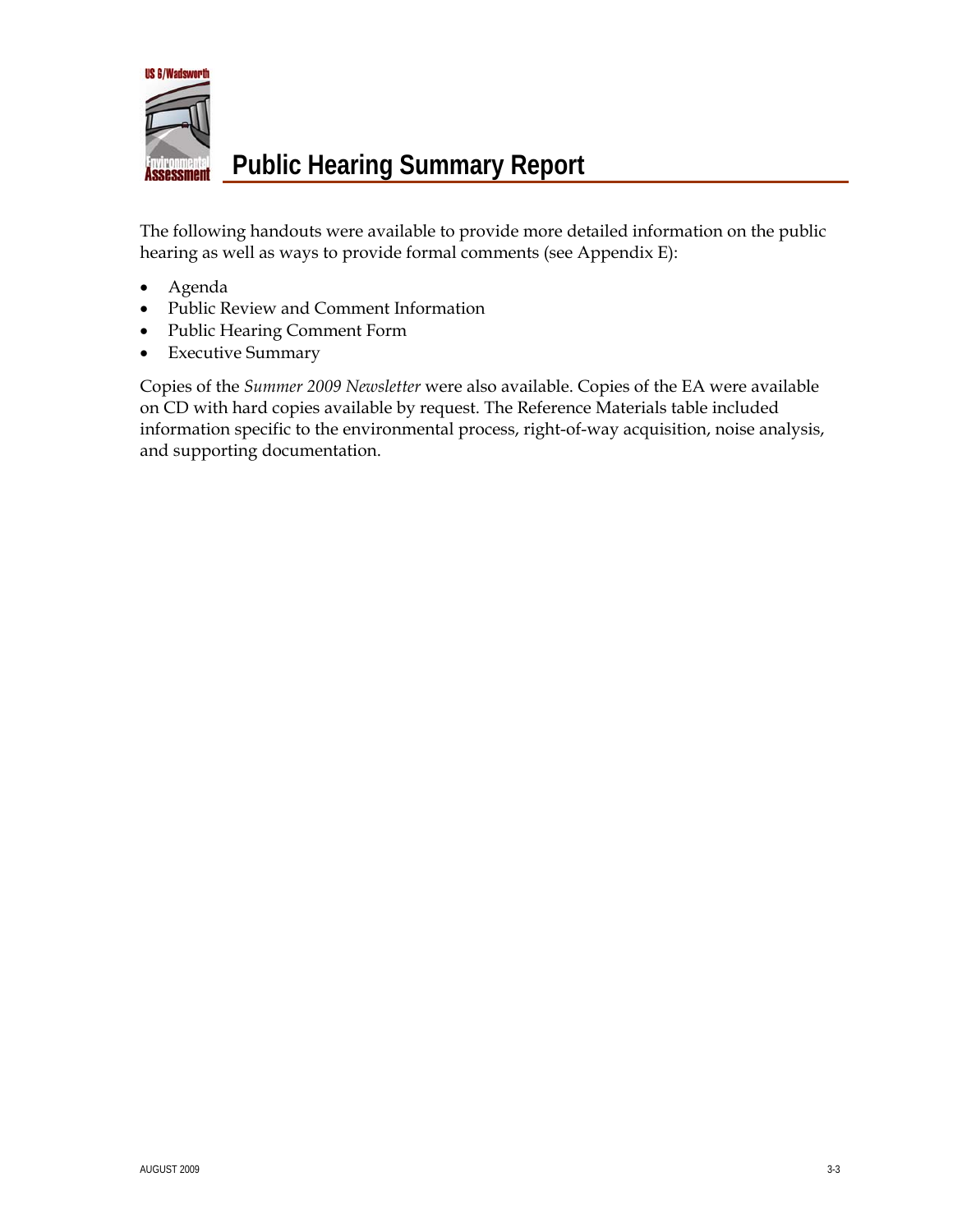

### **Public Hearing Summary Report**

The following handouts were available to provide more detailed information on the public hearing as well as ways to provide formal comments (see Appendix E):

- Agenda
- Public Review and Comment Information
- Public Hearing Comment Form
- Executive Summary

Copies of the *Summer 2009 Newsletter* were also available. Copies of the EA were available on CD with hard copies available by request. The Reference Materials table included information specific to the environmental process, right-of-way acquisition, noise analysis, and supporting documentation.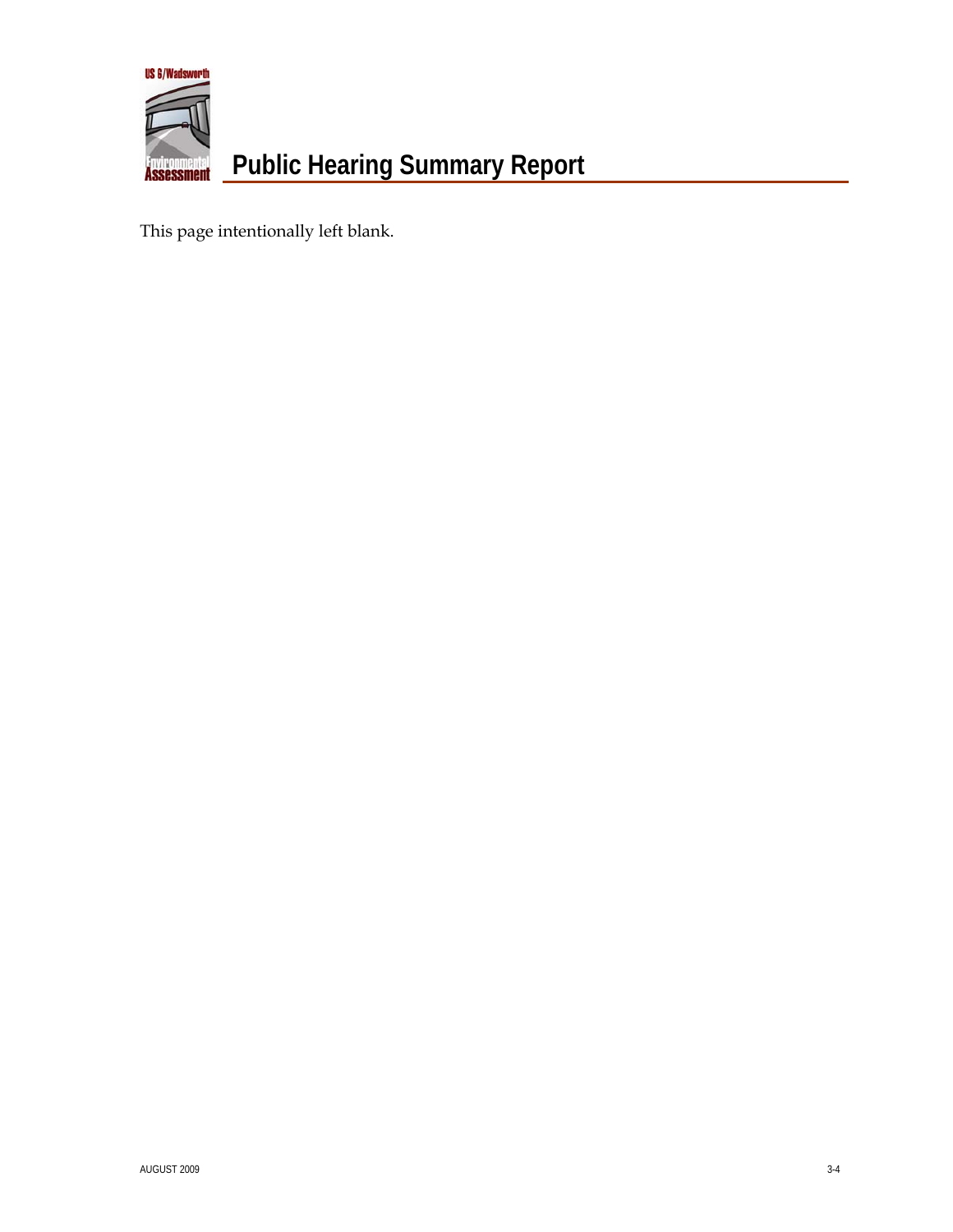

This page intentionally left blank.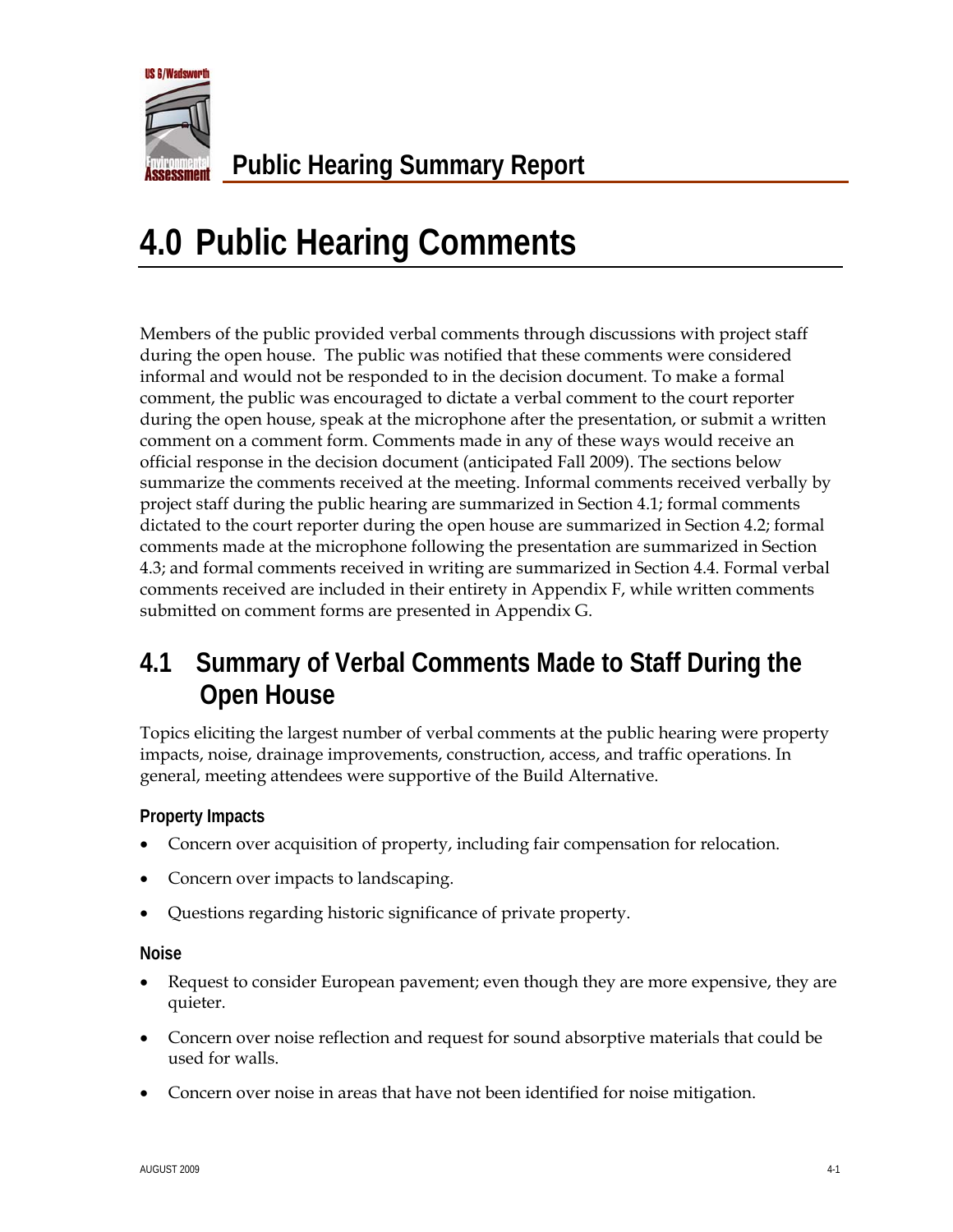

# **4.0 Public Hearing Comments**

Members of the public provided verbal comments through discussions with project staff during the open house. The public was notified that these comments were considered informal and would not be responded to in the decision document. To make a formal comment, the public was encouraged to dictate a verbal comment to the court reporter during the open house, speak at the microphone after the presentation, or submit a written comment on a comment form. Comments made in any of these ways would receive an official response in the decision document (anticipated Fall 2009). The sections below summarize the comments received at the meeting. Informal comments received verbally by project staff during the public hearing are summarized in Section 4.1; formal comments dictated to the court reporter during the open house are summarized in Section 4.2; formal comments made at the microphone following the presentation are summarized in Section 4.3; and formal comments received in writing are summarized in Section 4.4. Formal verbal comments received are included in their entirety in Appendix F, while written comments submitted on comment forms are presented in Appendix G.

### **4.1 Summary of Verbal Comments Made to Staff During the Open House**

Topics eliciting the largest number of verbal comments at the public hearing were property impacts, noise, drainage improvements, construction, access, and traffic operations. In general, meeting attendees were supportive of the Build Alternative.

### **Property Impacts**

- Concern over acquisition of property, including fair compensation for relocation.
- Concern over impacts to landscaping.
- Questions regarding historic significance of private property.

### **Noise**

- Request to consider European pavement; even though they are more expensive, they are quieter.
- Concern over noise reflection and request for sound absorptive materials that could be used for walls.
- Concern over noise in areas that have not been identified for noise mitigation.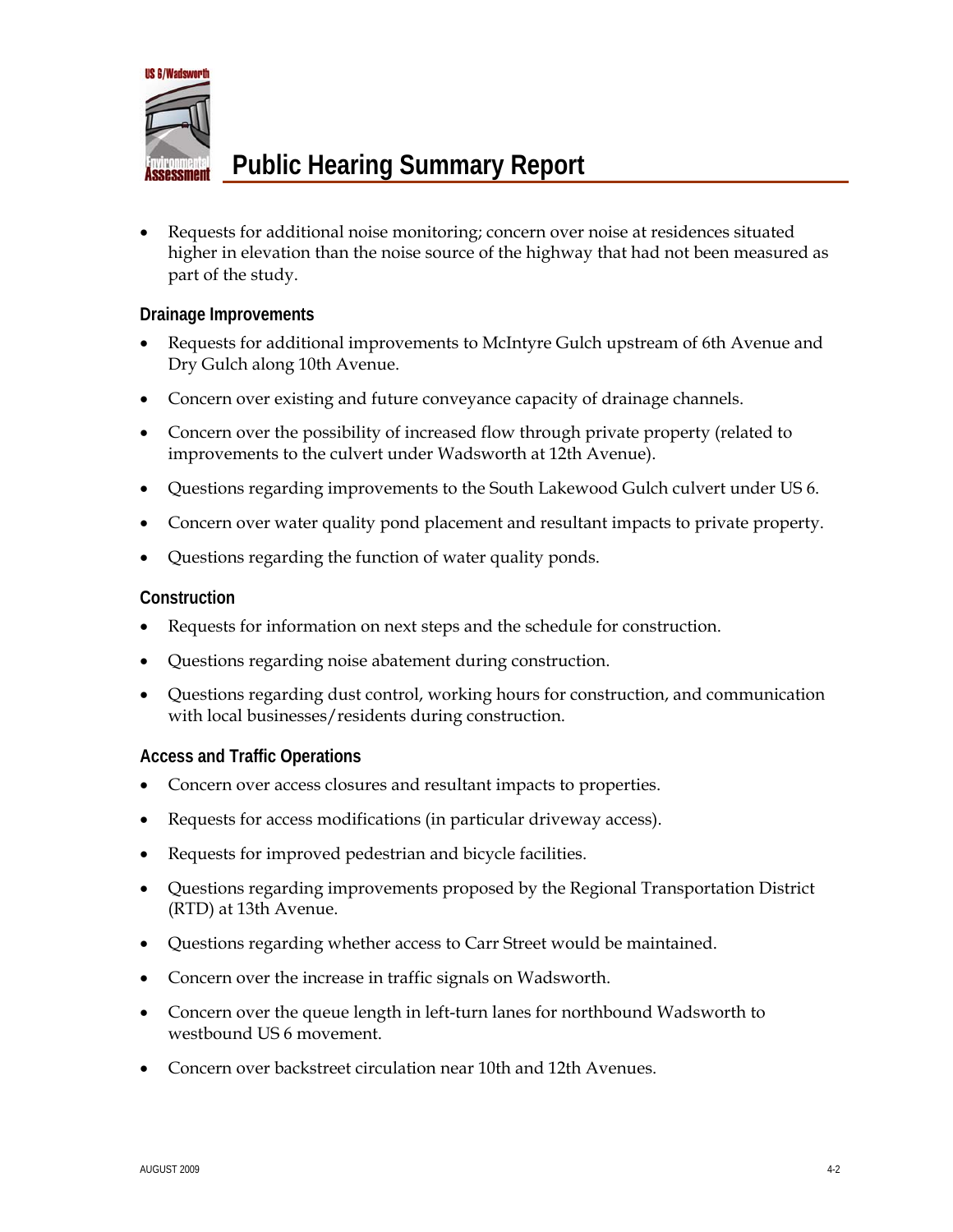

### **Public Hearing Summary Report**

• Requests for additional noise monitoring; concern over noise at residences situated higher in elevation than the noise source of the highway that had not been measured as part of the study.

### **Drainage Improvements**

- Requests for additional improvements to McIntyre Gulch upstream of 6th Avenue and Dry Gulch along 10th Avenue.
- Concern over existing and future conveyance capacity of drainage channels.
- Concern over the possibility of increased flow through private property (related to improvements to the culvert under Wadsworth at 12th Avenue).
- Questions regarding improvements to the South Lakewood Gulch culvert under US 6.
- Concern over water quality pond placement and resultant impacts to private property.
- Questions regarding the function of water quality ponds.

### **Construction**

- Requests for information on next steps and the schedule for construction.
- Questions regarding noise abatement during construction.
- Questions regarding dust control, working hours for construction, and communication with local businesses/residents during construction.

### **Access and Traffic Operations**

- Concern over access closures and resultant impacts to properties.
- Requests for access modifications (in particular driveway access).
- Requests for improved pedestrian and bicycle facilities.
- Questions regarding improvements proposed by the Regional Transportation District (RTD) at 13th Avenue.
- Questions regarding whether access to Carr Street would be maintained.
- Concern over the increase in traffic signals on Wadsworth.
- Concern over the queue length in left-turn lanes for northbound Wadsworth to westbound US 6 movement.
- Concern over backstreet circulation near 10th and 12th Avenues.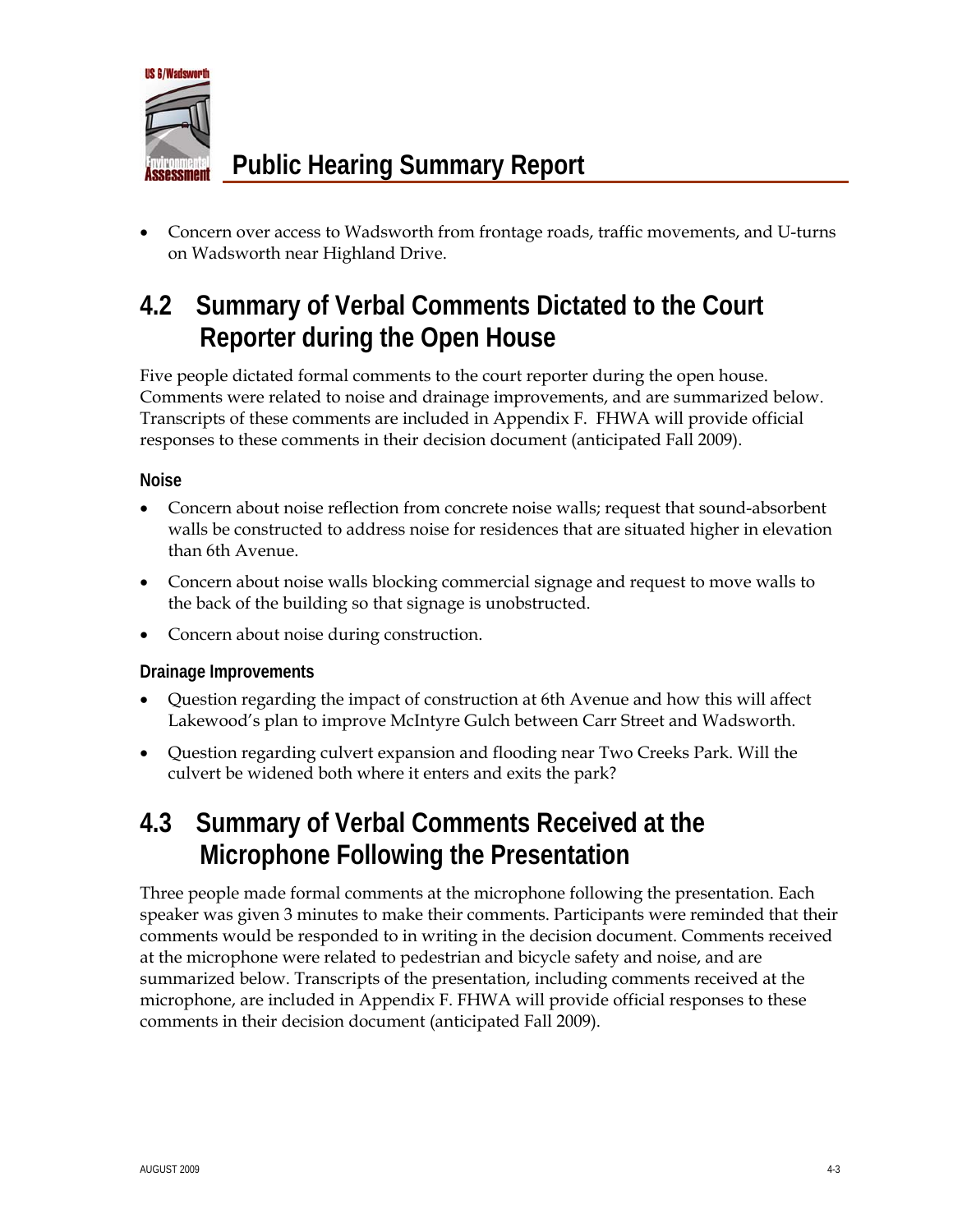

• Concern over access to Wadsworth from frontage roads, traffic movements, and U-turns on Wadsworth near Highland Drive.

### **4.2 Summary of Verbal Comments Dictated to the Court Reporter during the Open House**

Five people dictated formal comments to the court reporter during the open house. Comments were related to noise and drainage improvements, and are summarized below. Transcripts of these comments are included in Appendix F. FHWA will provide official responses to these comments in their decision document (anticipated Fall 2009).

### **Noise**

- Concern about noise reflection from concrete noise walls; request that sound-absorbent walls be constructed to address noise for residences that are situated higher in elevation than 6th Avenue.
- Concern about noise walls blocking commercial signage and request to move walls to the back of the building so that signage is unobstructed.
- Concern about noise during construction.

### **Drainage Improvements**

- Question regarding the impact of construction at 6th Avenue and how this will affect Lakewood's plan to improve McIntyre Gulch between Carr Street and Wadsworth.
- Question regarding culvert expansion and flooding near Two Creeks Park. Will the culvert be widened both where it enters and exits the park?

### **4.3 Summary of Verbal Comments Received at the Microphone Following the Presentation**

Three people made formal comments at the microphone following the presentation. Each speaker was given 3 minutes to make their comments. Participants were reminded that their comments would be responded to in writing in the decision document. Comments received at the microphone were related to pedestrian and bicycle safety and noise, and are summarized below. Transcripts of the presentation, including comments received at the microphone, are included in Appendix F. FHWA will provide official responses to these comments in their decision document (anticipated Fall 2009).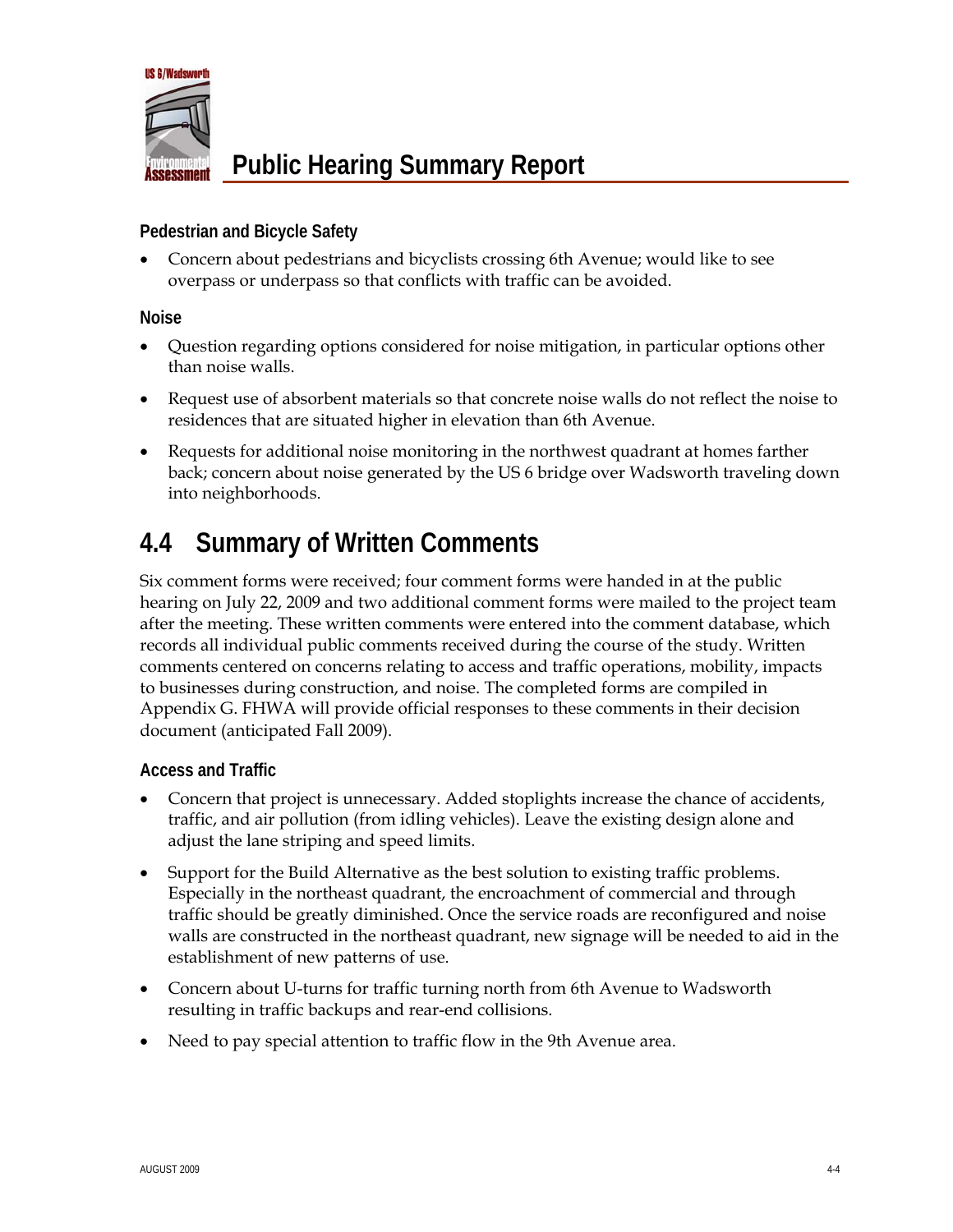

### **Pedestrian and Bicycle Safety**

• Concern about pedestrians and bicyclists crossing 6th Avenue; would like to see overpass or underpass so that conflicts with traffic can be avoided.

### **Noise**

- Question regarding options considered for noise mitigation, in particular options other than noise walls.
- Request use of absorbent materials so that concrete noise walls do not reflect the noise to residences that are situated higher in elevation than 6th Avenue.
- Requests for additional noise monitoring in the northwest quadrant at homes farther back; concern about noise generated by the US 6 bridge over Wadsworth traveling down into neighborhoods.

### **4.4 Summary of Written Comments**

Six comment forms were received; four comment forms were handed in at the public hearing on July 22, 2009 and two additional comment forms were mailed to the project team after the meeting. These written comments were entered into the comment database, which records all individual public comments received during the course of the study. Written comments centered on concerns relating to access and traffic operations, mobility, impacts to businesses during construction, and noise. The completed forms are compiled in Appendix G. FHWA will provide official responses to these comments in their decision document (anticipated Fall 2009).

### **Access and Traffic**

- Concern that project is unnecessary. Added stoplights increase the chance of accidents, traffic, and air pollution (from idling vehicles). Leave the existing design alone and adjust the lane striping and speed limits.
- Support for the Build Alternative as the best solution to existing traffic problems. Especially in the northeast quadrant, the encroachment of commercial and through traffic should be greatly diminished. Once the service roads are reconfigured and noise walls are constructed in the northeast quadrant, new signage will be needed to aid in the establishment of new patterns of use.
- Concern about U-turns for traffic turning north from 6th Avenue to Wadsworth resulting in traffic backups and rear-end collisions.
- Need to pay special attention to traffic flow in the 9th Avenue area.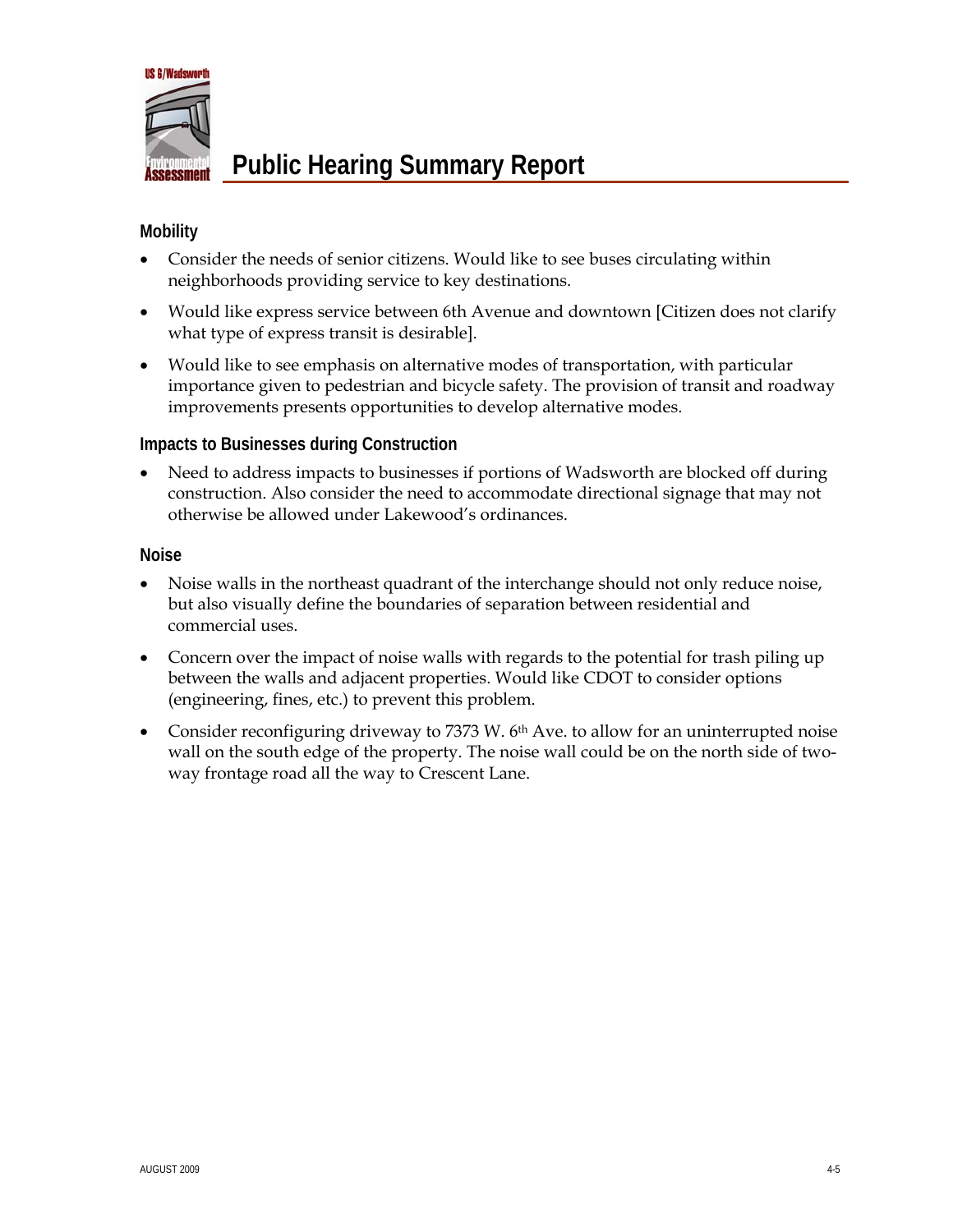

### **Public Hearing Summary Report**

### **Mobility**

- Consider the needs of senior citizens. Would like to see buses circulating within neighborhoods providing service to key destinations.
- Would like express service between 6th Avenue and downtown [Citizen does not clarify what type of express transit is desirable].
- Would like to see emphasis on alternative modes of transportation, with particular importance given to pedestrian and bicycle safety. The provision of transit and roadway improvements presents opportunities to develop alternative modes.

### **Impacts to Businesses during Construction**

• Need to address impacts to businesses if portions of Wadsworth are blocked off during construction. Also consider the need to accommodate directional signage that may not otherwise be allowed under Lakewood's ordinances.

### **Noise**

- Noise walls in the northeast quadrant of the interchange should not only reduce noise, but also visually define the boundaries of separation between residential and commercial uses.
- Concern over the impact of noise walls with regards to the potential for trash piling up between the walls and adjacent properties. Would like CDOT to consider options (engineering, fines, etc.) to prevent this problem.
- Consider reconfiguring driveway to 7373 W. 6<sup>th</sup> Ave. to allow for an uninterrupted noise wall on the south edge of the property. The noise wall could be on the north side of twoway frontage road all the way to Crescent Lane.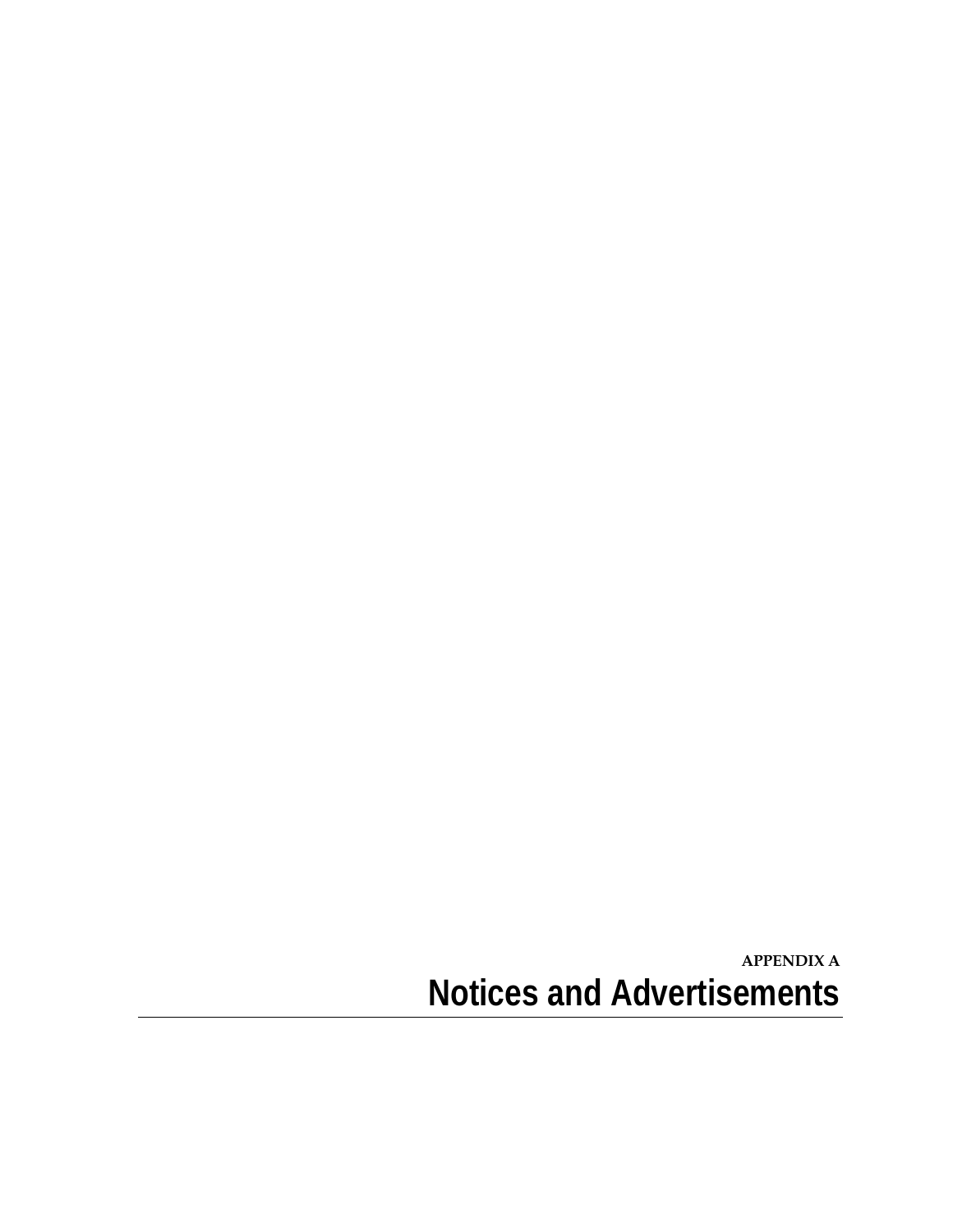# **APPENDIX A Notices and Advertisements**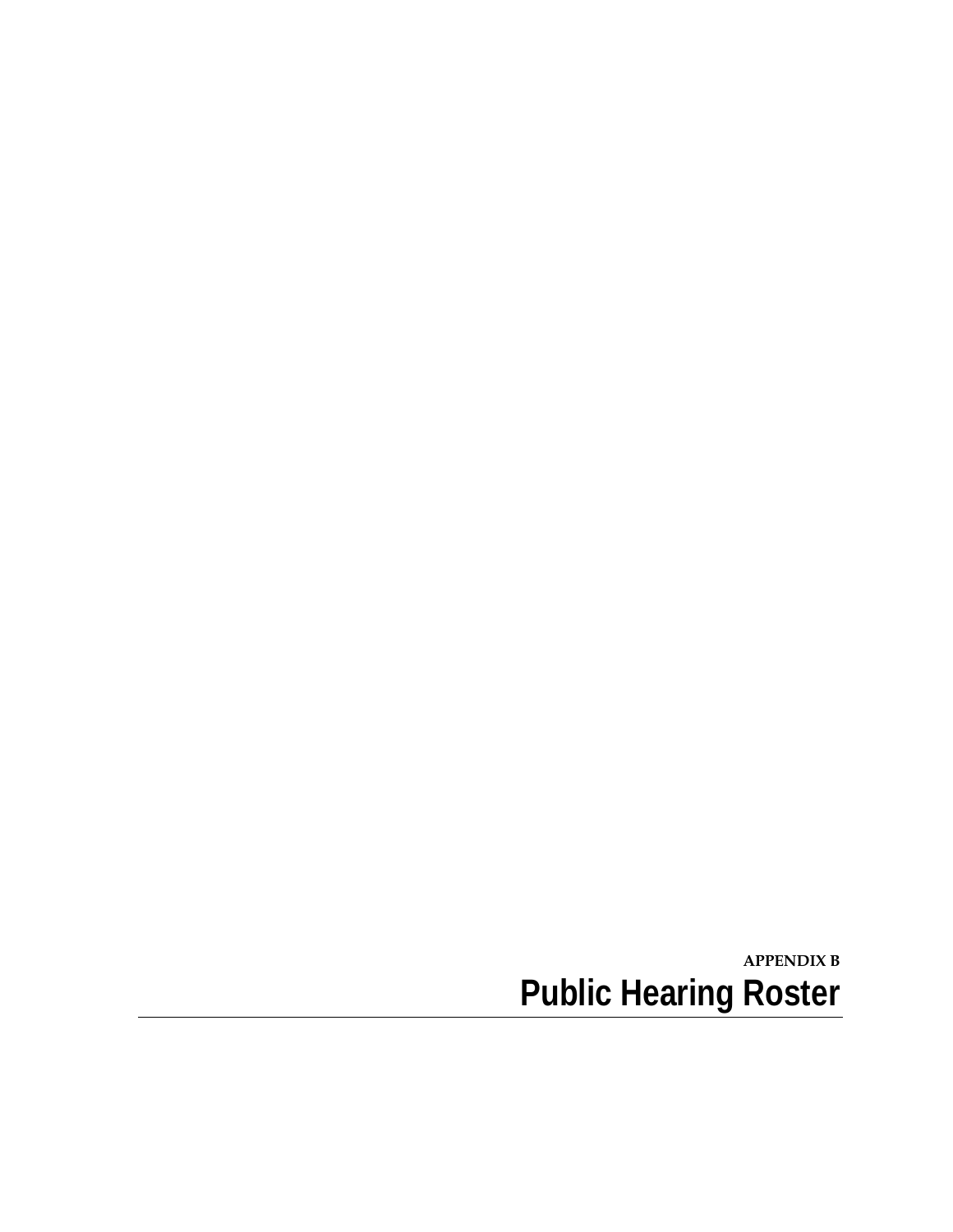# **APPENDIX B Public Hearing Roster**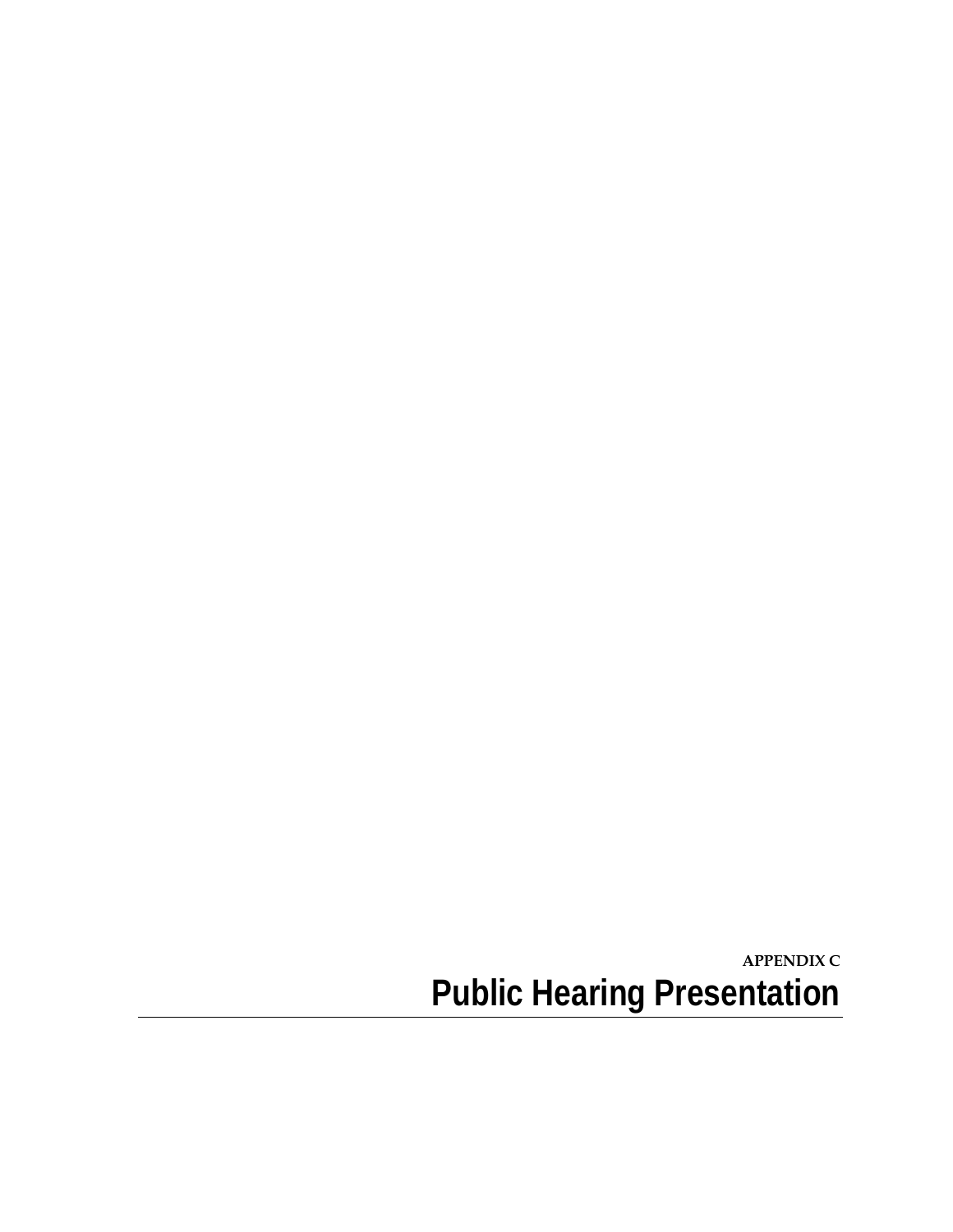# **APPENDIX C Public Hearing Presentation**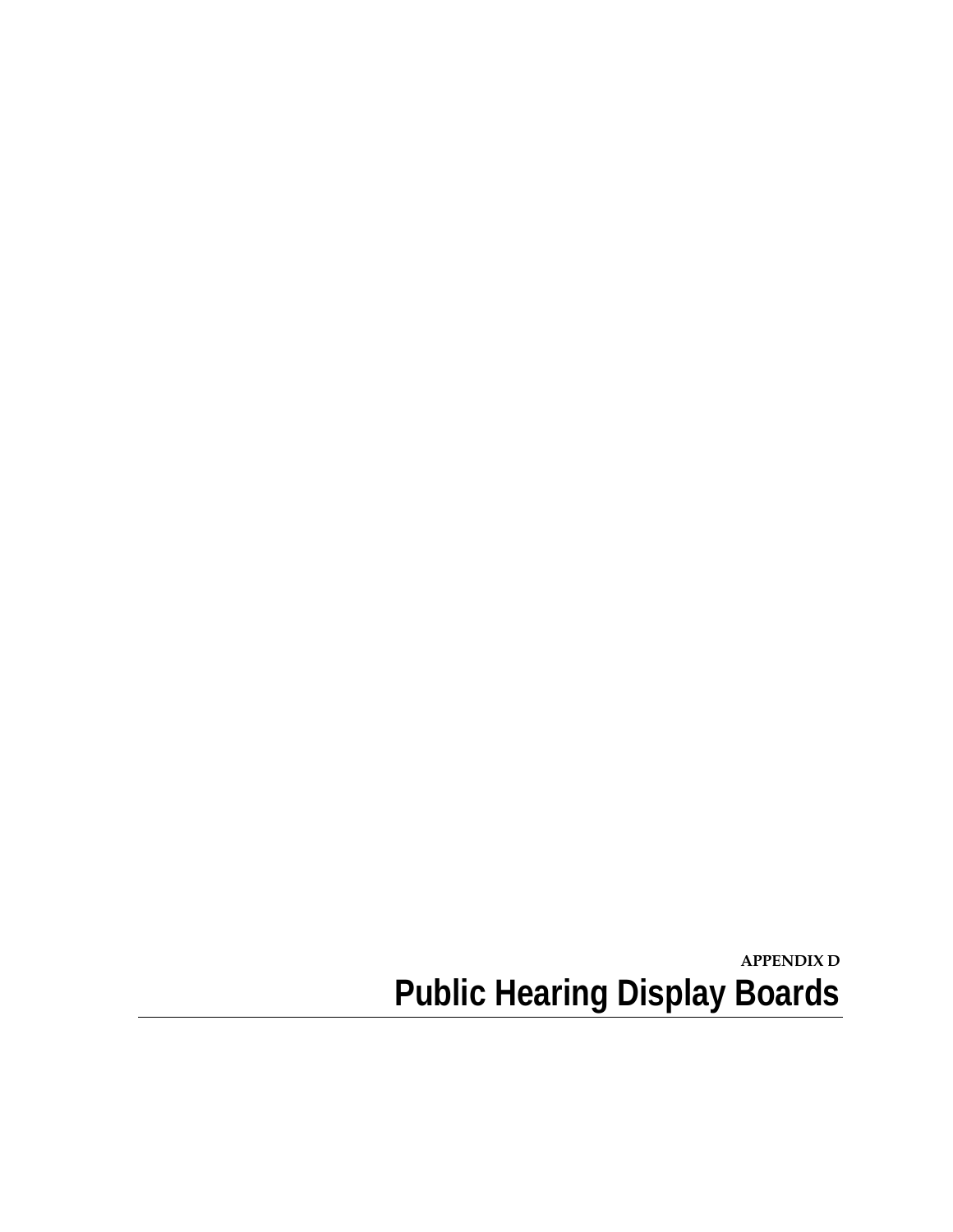# **APPENDIX D Public Hearing Display Boards**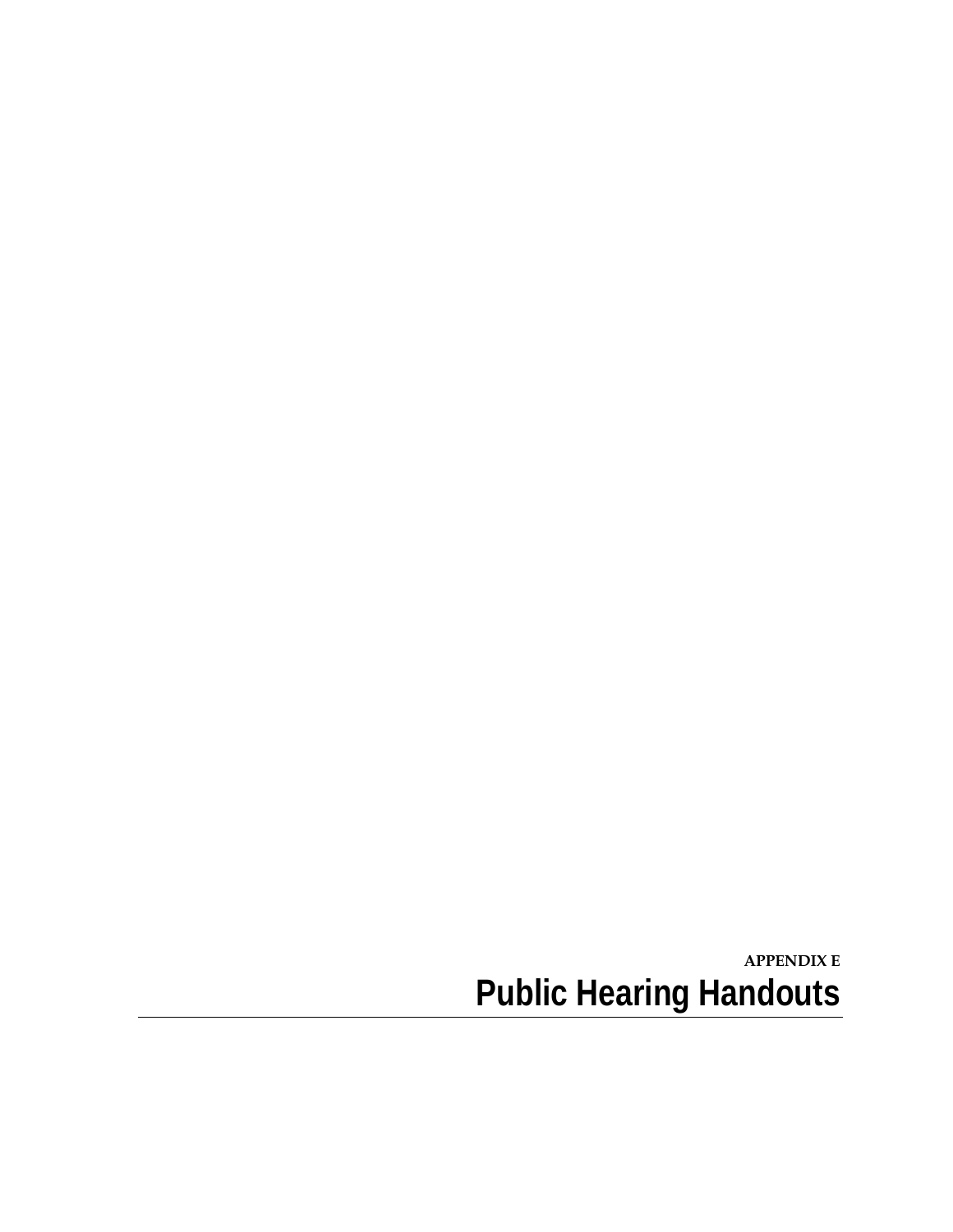# **APPENDIX E Public Hearing Handouts**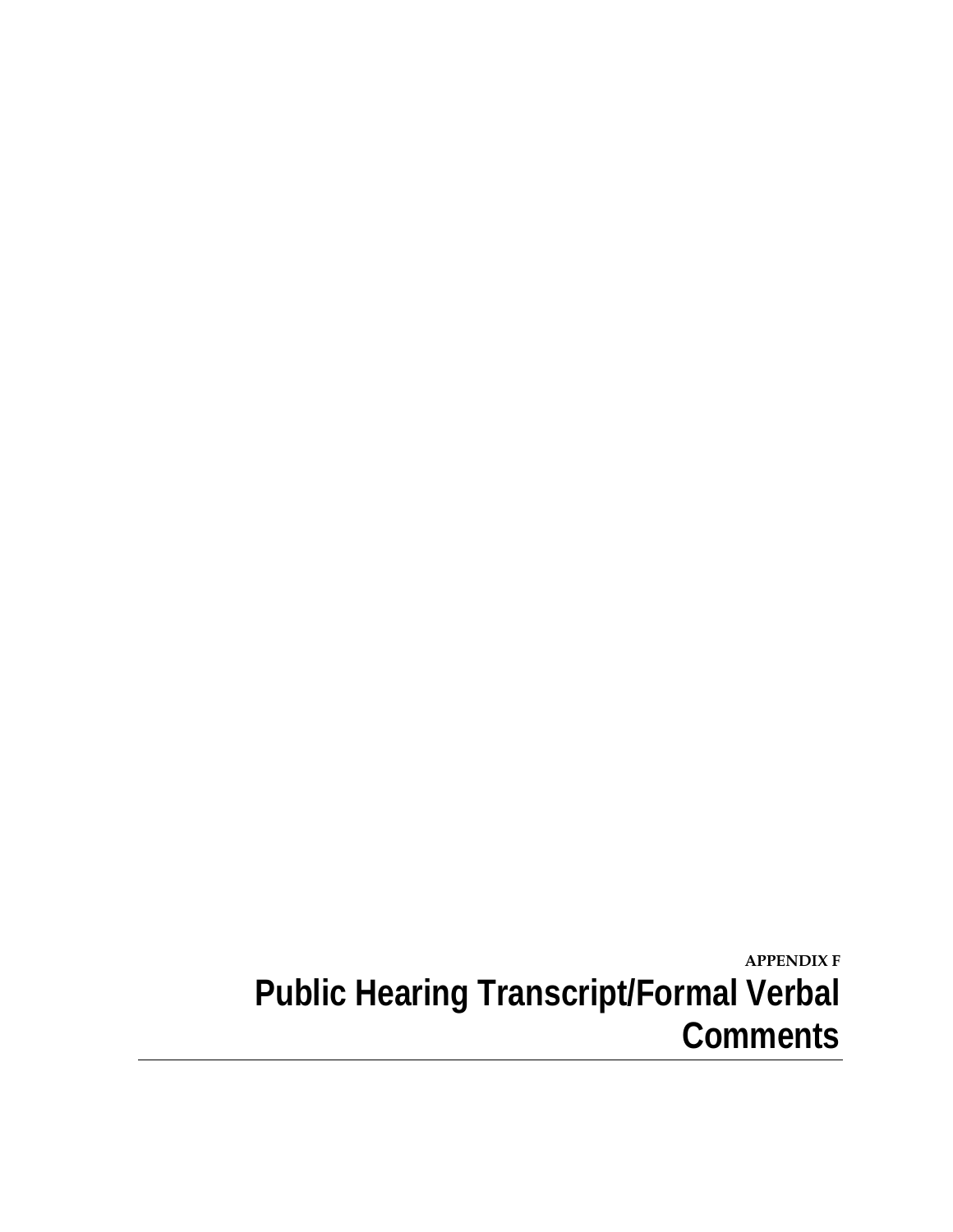# **APPENDIX F Public Hearing Transcript/Formal Verbal Comments**